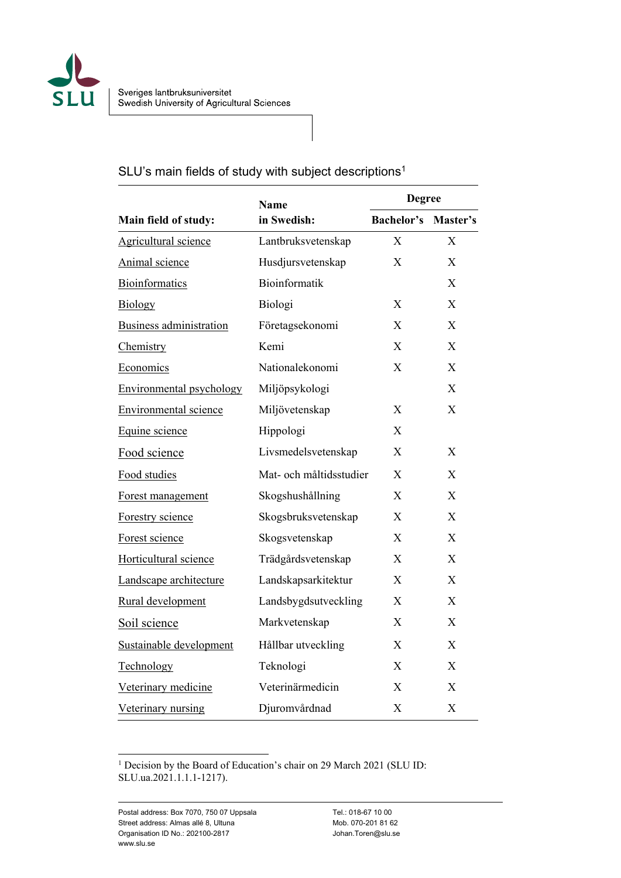

# SLU's main fields of study with subject descriptions<sup>1</sup>

| Main field of study:            | <b>Name</b><br>in Swedish: | <b>Degree</b>              |                  |
|---------------------------------|----------------------------|----------------------------|------------------|
|                                 |                            | <b>Bachelor's Master's</b> |                  |
| Agricultural science            | Lantbruksvetenskap         | X                          | X                |
| Animal science                  | Husdjursvetenskap          | X                          | X                |
| Bioinformatics                  | Bioinformatik              |                            | X                |
| <b>Biology</b>                  | Biologi                    | X                          | X                |
| <b>Business administration</b>  | Företagsekonomi            | X                          | X                |
| Chemistry                       | Kemi                       | X                          | $\mathbf{X}$     |
| Economics                       | Nationalekonomi            | X                          | X                |
| <b>Environmental psychology</b> | Miljöpsykologi             |                            | X                |
| <b>Environmental science</b>    | Miljövetenskap             | X                          | X                |
| Equine science                  | Hippologi                  | X                          |                  |
| Food science                    | Livsmedelsvetenskap        | X                          | $\boldsymbol{X}$ |
| Food studies                    | Mat- och måltidsstudier    | X                          | X                |
| Forest management               | Skogshushållning           | X                          | X                |
| Forestry science                | Skogsbruksvetenskap        | X                          | X                |
| Forest science                  | Skogsvetenskap             | X                          | X                |
| Horticultural science           | Trädgårdsvetenskap         | X                          | X                |
| Landscape architecture          | Landskapsarkitektur        | X                          | X                |
| Rural development               | Landsbygdsutveckling       | X                          | X                |
| Soil science                    | Markvetenskap              | X                          | X                |
| Sustainable development         | Hållbar utveckling         | X                          | X                |
| Technology                      | Teknologi                  | X                          | X                |
| Veterinary medicine             | Veterinärmedicin           | X                          | $\boldsymbol{X}$ |
| Veterinary nursing              | Djuromvårdnad              | X                          | X                |

<sup>1</sup> Decision by the Board of Education's chair on 29 March 2021 (SLU ID: SLU.ua.2021.1.1.1-1217).

 $\overline{a}$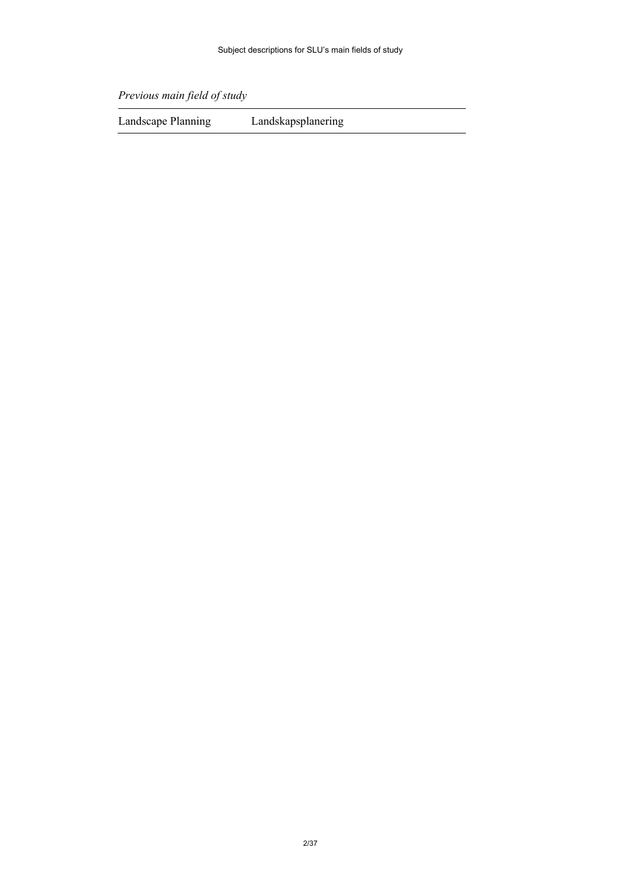*Previous main field of study*

Landscape Planning Landskapsplanering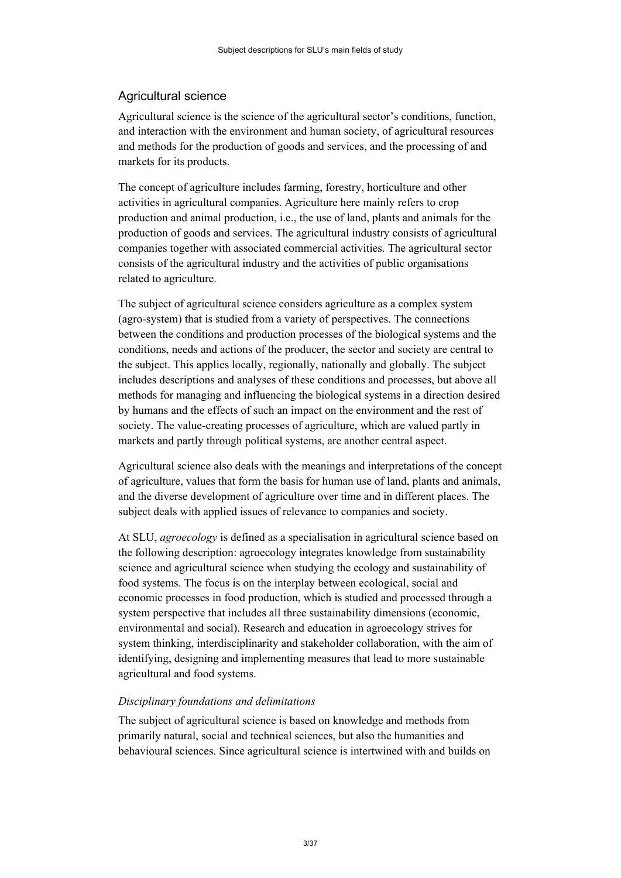# <span id="page-2-0"></span>Agricultural science

Agricultural science is the science of the agricultural sector's conditions, function, and interaction with the environment and human society, of agricultural resources and methods for the production of goods and services, and the processing of and markets for its products.

The concept of agriculture includes farming, forestry, horticulture and other activities in agricultural companies. Agriculture here mainly refers to crop production and animal production, i.e., the use of land, plants and animals for the production of goods and services. The agricultural industry consists of agricultural companies together with associated commercial activities. The agricultural sector consists of the agricultural industry and the activities of public organisations related to agriculture.

The subject of agricultural science considers agriculture as a complex system (agro-system) that is studied from a variety of perspectives. The connections between the conditions and production processes of the biological systems and the conditions, needs and actions of the producer, the sector and society are central to the subject. This applies locally, regionally, nationally and globally. The subject includes descriptions and analyses of these conditions and processes, but above all methods for managing and influencing the biological systems in a direction desired by humans and the effects of such an impact on the environment and the rest of society. The value-creating processes of agriculture, which are valued partly in markets and partly through political systems, are another central aspect.

Agricultural science also deals with the meanings and interpretations of the concept of agriculture, values that form the basis for human use of land, plants and animals, and the diverse development of agriculture over time and in different places. The subject deals with applied issues of relevance to companies and society.

At SLU, *agroecology* is defined as a specialisation in agricultural science based on the following description: agroecology integrates knowledge from sustainability science and agricultural science when studying the ecology and sustainability of food systems. The focus is on the interplay between ecological, social and economic processes in food production, which is studied and processed through a system perspective that includes all three sustainability dimensions (economic, environmental and social). Research and education in agroecology strives for system thinking, interdisciplinarity and stakeholder collaboration, with the aim of identifying, designing and implementing measures that lead to more sustainable agricultural and food systems.

#### *Disciplinary foundations and delimitations*

The subject of agricultural science is based on knowledge and methods from primarily natural, social and technical sciences, but also the humanities and behavioural sciences. Since agricultural science is intertwined with and builds on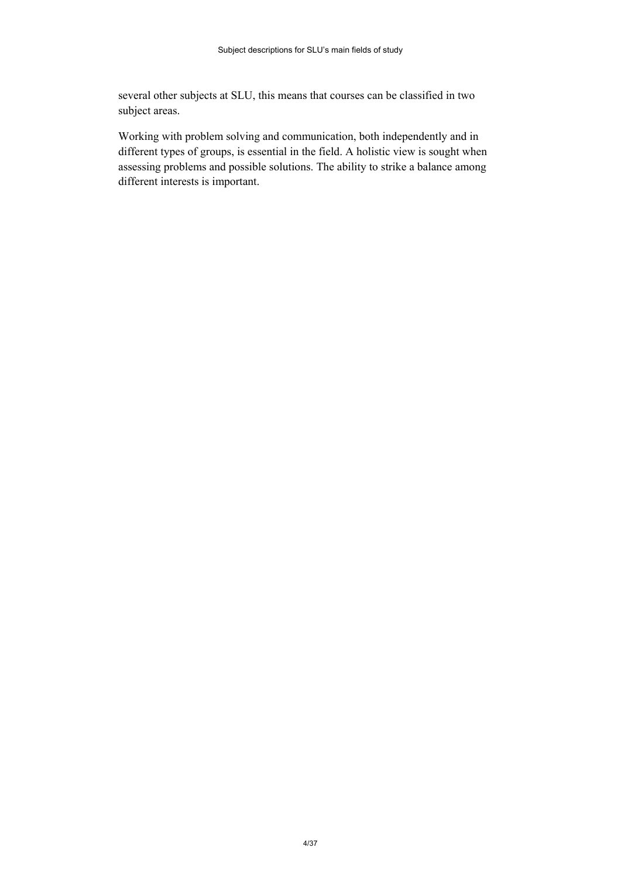several other subjects at SLU, this means that courses can be classified in two subject areas.

Working with problem solving and communication, both independently and in different types of groups, is essential in the field. A holistic view is sought when assessing problems and possible solutions. The ability to strike a balance among different interests is important.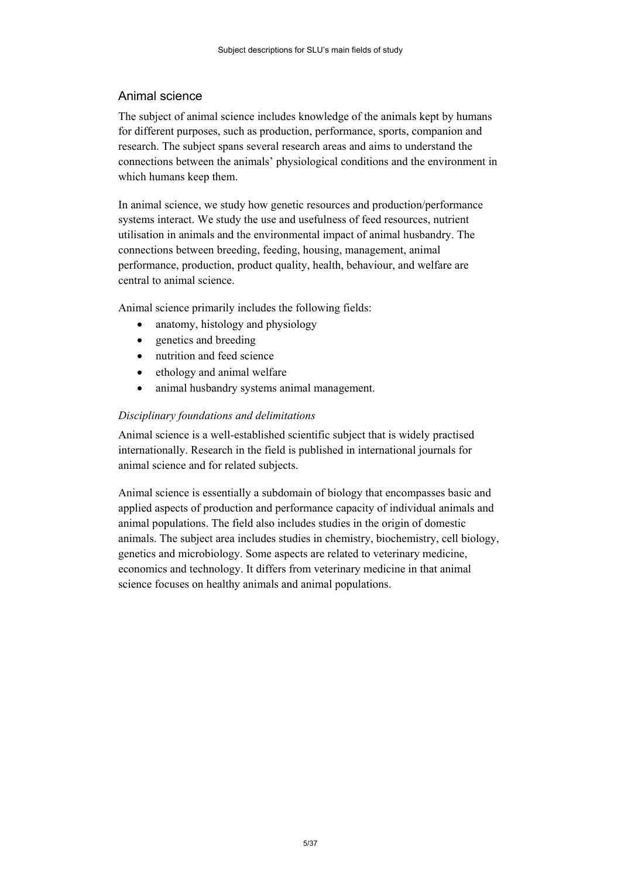# <span id="page-4-0"></span>Animal science

The subject of animal science includes knowledge of the animals kept by humans for different purposes, such as production, performance, sports, companion and research. The subject spans several research areas and aims to understand the connections between the animals' physiological conditions and the environment in which humans keep them.

In animal science, we study how genetic resources and production/performance systems interact. We study the use and usefulness of feed resources, nutrient utilisation in animals and the environmental impact of animal husbandry. The connections between breeding, feeding, housing, management, animal performance, production, product quality, health, behaviour, and welfare are central to animal science.

Animal science primarily includes the following fields:

- anatomy, histology and physiology
- genetics and breeding
- nutrition and feed science
- ethology and animal welfare
- animal husbandry systems animal management.

## *Disciplinary foundations and delimitations*

Animal science is a well-established scientific subject that is widely practised internationally. Research in the field is published in international journals for animal science and for related subjects.

Animal science is essentially a subdomain of biology that encompasses basic and applied aspects of production and performance capacity of individual animals and animal populations. The field also includes studies in the origin of domestic animals. The subject area includes studies in chemistry, biochemistry, cell biology, genetics and microbiology. Some aspects are related to veterinary medicine, economics and technology. It differs from veterinary medicine in that animal science focuses on healthy animals and animal populations.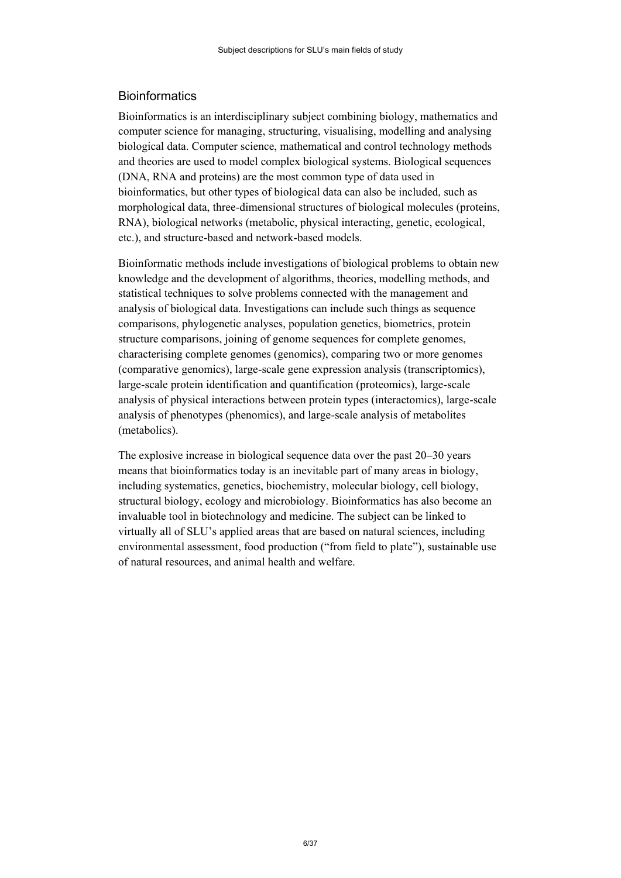# <span id="page-5-0"></span>**Bioinformatics**

Bioinformatics is an interdisciplinary subject combining biology, mathematics and computer science for managing, structuring, visualising, modelling and analysing biological data. Computer science, mathematical and control technology methods and theories are used to model complex biological systems. Biological sequences (DNA, RNA and proteins) are the most common type of data used in bioinformatics, but other types of biological data can also be included, such as morphological data, three-dimensional structures of biological molecules (proteins, RNA), biological networks (metabolic, physical interacting, genetic, ecological, etc.), and structure-based and network-based models.

Bioinformatic methods include investigations of biological problems to obtain new knowledge and the development of algorithms, theories, modelling methods, and statistical techniques to solve problems connected with the management and analysis of biological data. Investigations can include such things as sequence comparisons, phylogenetic analyses, population genetics, biometrics, protein structure comparisons, joining of genome sequences for complete genomes, characterising complete genomes (genomics), comparing two or more genomes (comparative genomics), large-scale gene expression analysis (transcriptomics), large-scale protein identification and quantification (proteomics), large-scale analysis of physical interactions between protein types (interactomics), large-scale analysis of phenotypes (phenomics), and large-scale analysis of metabolites (metabolics).

The explosive increase in biological sequence data over the past 20–30 years means that bioinformatics today is an inevitable part of many areas in biology, including systematics, genetics, biochemistry, molecular biology, cell biology, structural biology, ecology and microbiology. Bioinformatics has also become an invaluable tool in biotechnology and medicine. The subject can be linked to virtually all of SLU's applied areas that are based on natural sciences, including environmental assessment, food production ("from field to plate"), sustainable use of natural resources, and animal health and welfare.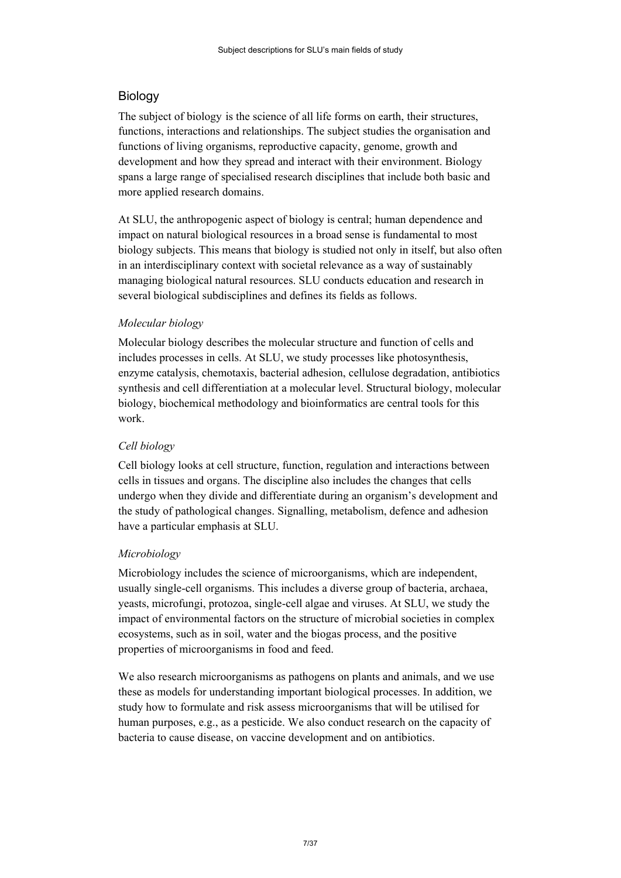# <span id="page-6-0"></span>Biology

The subject of biology is the science of all life forms on earth, their structures, functions, interactions and relationships. The subject studies the organisation and functions of living organisms, reproductive capacity, genome, growth and development and how they spread and interact with their environment. Biology spans a large range of specialised research disciplines that include both basic and more applied research domains.

At SLU, the anthropogenic aspect of biology is central; human dependence and impact on natural biological resources in a broad sense is fundamental to most biology subjects. This means that biology is studied not only in itself, but also often in an interdisciplinary context with societal relevance as a way of sustainably managing biological natural resources. SLU conducts education and research in several biological subdisciplines and defines its fields as follows.

## *Molecular biology*

Molecular biology describes the molecular structure and function of cells and includes processes in cells. At SLU, we study processes like photosynthesis, enzyme catalysis, chemotaxis, bacterial adhesion, cellulose degradation, antibiotics synthesis and cell differentiation at a molecular level. Structural biology, molecular biology, biochemical methodology and bioinformatics are central tools for this work.

## *Cell biology*

Cell biology looks at cell structure, function, regulation and interactions between cells in tissues and organs. The discipline also includes the changes that cells undergo when they divide and differentiate during an organism's development and the study of pathological changes. Signalling, metabolism, defence and adhesion have a particular emphasis at SLU.

#### *Microbiology*

Microbiology includes the science of microorganisms, which are independent, usually single-cell organisms. This includes a diverse group of bacteria, archaea, yeasts, microfungi, protozoa, single-cell algae and viruses. At SLU, we study the impact of environmental factors on the structure of microbial societies in complex ecosystems, such as in soil, water and the biogas process, and the positive properties of microorganisms in food and feed.

We also research microorganisms as pathogens on plants and animals, and we use these as models for understanding important biological processes. In addition, we study how to formulate and risk assess microorganisms that will be utilised for human purposes, e.g., as a pesticide. We also conduct research on the capacity of bacteria to cause disease, on vaccine development and on antibiotics.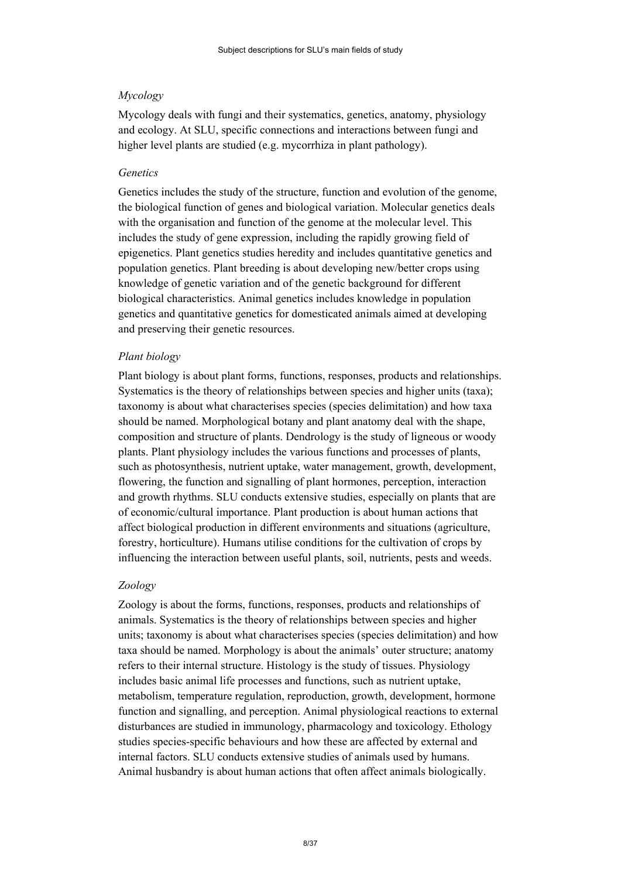#### *Mycology*

Mycology deals with fungi and their systematics, genetics, anatomy, physiology and ecology. At SLU, specific connections and interactions between fungi and higher level plants are studied (e.g. mycorrhiza in plant pathology).

#### *Genetics*

Genetics includes the study of the structure, function and evolution of the genome, the biological function of genes and biological variation. Molecular genetics deals with the organisation and function of the genome at the molecular level. This includes the study of gene expression, including the rapidly growing field of epigenetics. Plant genetics studies heredity and includes quantitative genetics and population genetics. Plant breeding is about developing new/better crops using knowledge of genetic variation and of the genetic background for different biological characteristics. Animal genetics includes knowledge in population genetics and quantitative genetics for domesticated animals aimed at developing and preserving their genetic resources.

#### *Plant biology*

Plant biology is about plant forms, functions, responses, products and relationships. Systematics is the theory of relationships between species and higher units (taxa); taxonomy is about what characterises species (species delimitation) and how taxa should be named. Morphological botany and plant anatomy deal with the shape, composition and structure of plants. Dendrology is the study of ligneous or woody plants. Plant physiology includes the various functions and processes of plants, such as photosynthesis, nutrient uptake, water management, growth, development, flowering, the function and signalling of plant hormones, perception, interaction and growth rhythms. SLU conducts extensive studies, especially on plants that are of economic/cultural importance. Plant production is about human actions that affect biological production in different environments and situations (agriculture, forestry, horticulture). Humans utilise conditions for the cultivation of crops by influencing the interaction between useful plants, soil, nutrients, pests and weeds.

#### *Zoology*

Zoology is about the forms, functions, responses, products and relationships of animals. Systematics is the theory of relationships between species and higher units; taxonomy is about what characterises species (species delimitation) and how taxa should be named. Morphology is about the animals' outer structure; anatomy refers to their internal structure. Histology is the study of tissues. Physiology includes basic animal life processes and functions, such as nutrient uptake, metabolism, temperature regulation, reproduction, growth, development, hormone function and signalling, and perception. Animal physiological reactions to external disturbances are studied in immunology, pharmacology and toxicology. Ethology studies species-specific behaviours and how these are affected by external and internal factors. SLU conducts extensive studies of animals used by humans. Animal husbandry is about human actions that often affect animals biologically.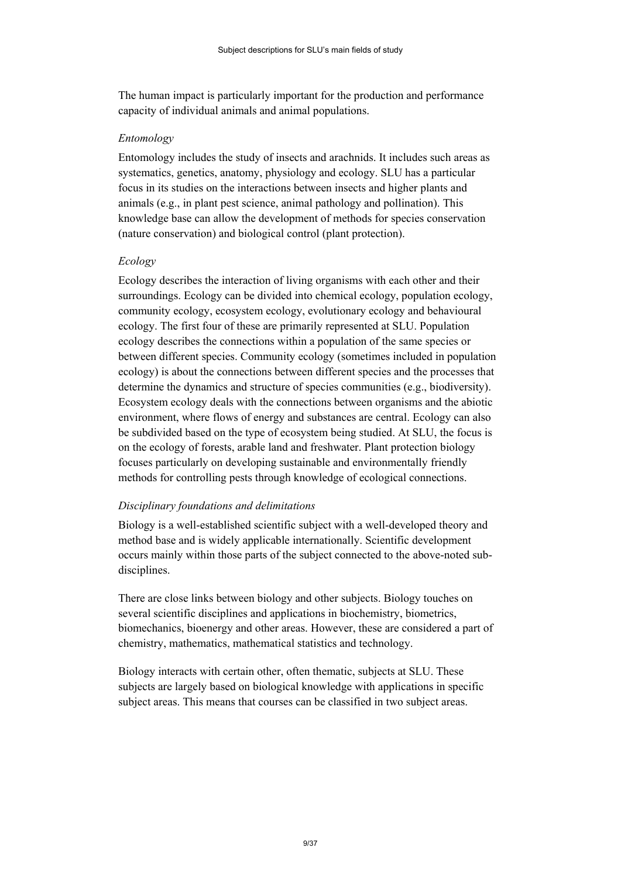The human impact is particularly important for the production and performance capacity of individual animals and animal populations.

#### *Entomology*

Entomology includes the study of insects and arachnids. It includes such areas as systematics, genetics, anatomy, physiology and ecology. SLU has a particular focus in its studies on the interactions between insects and higher plants and animals (e.g., in plant pest science, animal pathology and pollination). This knowledge base can allow the development of methods for species conservation (nature conservation) and biological control (plant protection).

#### *Ecology*

Ecology describes the interaction of living organisms with each other and their surroundings. Ecology can be divided into chemical ecology, population ecology, community ecology, ecosystem ecology, evolutionary ecology and behavioural ecology. The first four of these are primarily represented at SLU. Population ecology describes the connections within a population of the same species or between different species. Community ecology (sometimes included in population ecology) is about the connections between different species and the processes that determine the dynamics and structure of species communities (e.g., biodiversity). Ecosystem ecology deals with the connections between organisms and the abiotic environment, where flows of energy and substances are central. Ecology can also be subdivided based on the type of ecosystem being studied. At SLU, the focus is on the ecology of forests, arable land and freshwater. Plant protection biology focuses particularly on developing sustainable and environmentally friendly methods for controlling pests through knowledge of ecological connections.

#### *Disciplinary foundations and delimitations*

Biology is a well-established scientific subject with a well-developed theory and method base and is widely applicable internationally. Scientific development occurs mainly within those parts of the subject connected to the above-noted subdisciplines.

There are close links between biology and other subjects. Biology touches on several scientific disciplines and applications in biochemistry, biometrics, biomechanics, bioenergy and other areas. However, these are considered a part of chemistry, mathematics, mathematical statistics and technology.

Biology interacts with certain other, often thematic, subjects at SLU. These subjects are largely based on biological knowledge with applications in specific subject areas. This means that courses can be classified in two subject areas.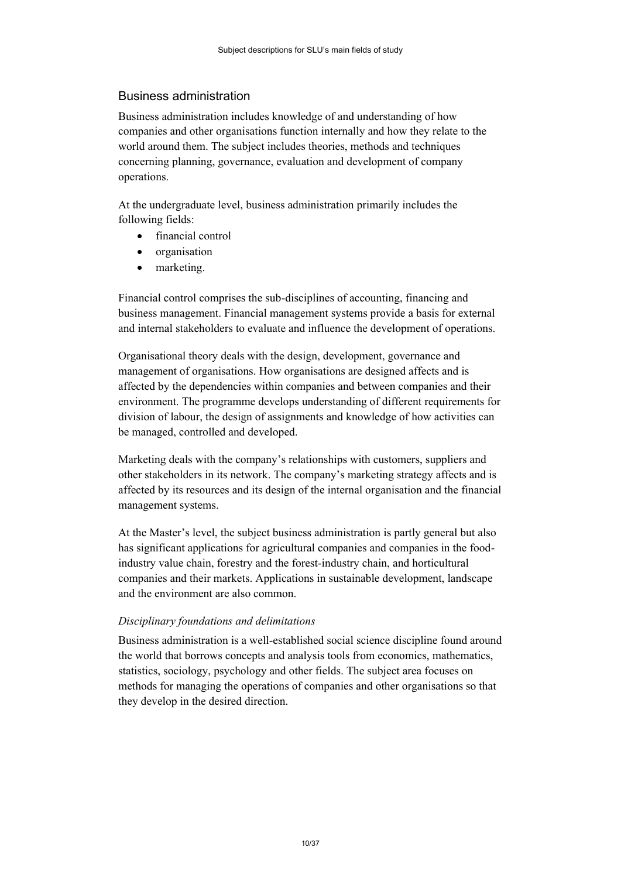## <span id="page-9-0"></span>Business administration

Business administration includes knowledge of and understanding of how companies and other organisations function internally and how they relate to the world around them. The subject includes theories, methods and techniques concerning planning, governance, evaluation and development of company operations.

At the undergraduate level, business administration primarily includes the following fields:

- financial control
- organisation
- marketing.

Financial control comprises the sub-disciplines of accounting, financing and business management. Financial management systems provide a basis for external and internal stakeholders to evaluate and influence the development of operations.

Organisational theory deals with the design, development, governance and management of organisations. How organisations are designed affects and is affected by the dependencies within companies and between companies and their environment. The programme develops understanding of different requirements for division of labour, the design of assignments and knowledge of how activities can be managed, controlled and developed.

Marketing deals with the company's relationships with customers, suppliers and other stakeholders in its network. The company's marketing strategy affects and is affected by its resources and its design of the internal organisation and the financial management systems.

At the Master's level, the subject business administration is partly general but also has significant applications for agricultural companies and companies in the foodindustry value chain, forestry and the forest-industry chain, and horticultural companies and their markets. Applications in sustainable development, landscape and the environment are also common.

#### *Disciplinary foundations and delimitations*

Business administration is a well-established social science discipline found around the world that borrows concepts and analysis tools from economics, mathematics, statistics, sociology, psychology and other fields. The subject area focuses on methods for managing the operations of companies and other organisations so that they develop in the desired direction.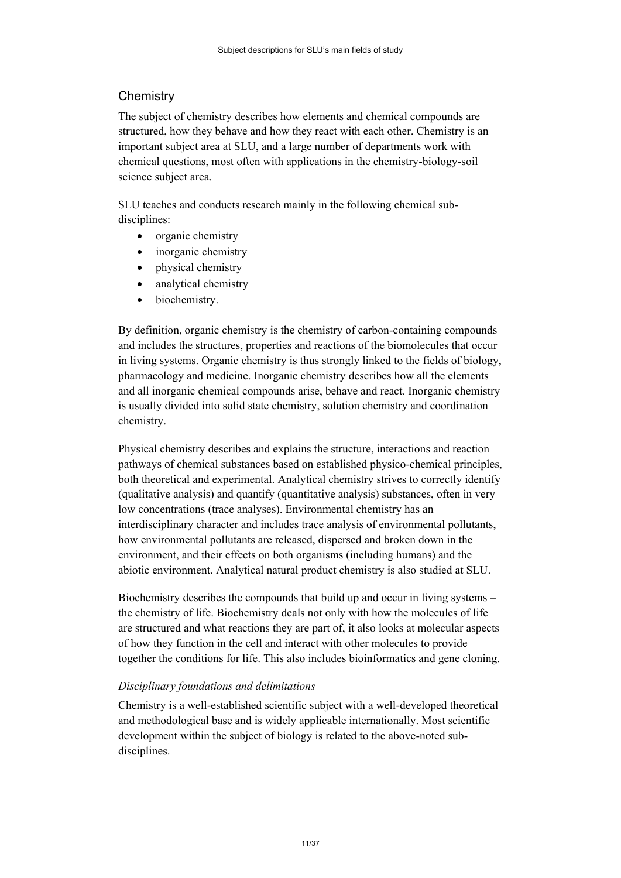# <span id="page-10-0"></span>**Chemistry**

The subject of chemistry describes how elements and chemical compounds are structured, how they behave and how they react with each other. Chemistry is an important subject area at SLU, and a large number of departments work with chemical questions, most often with applications in the chemistry-biology-soil science subject area.

SLU teaches and conducts research mainly in the following chemical subdisciplines:

- organic chemistry
- inorganic chemistry
- physical chemistry
- analytical chemistry
- biochemistry.

By definition, organic chemistry is the chemistry of carbon-containing compounds and includes the structures, properties and reactions of the biomolecules that occur in living systems. Organic chemistry is thus strongly linked to the fields of biology, pharmacology and medicine. Inorganic chemistry describes how all the elements and all inorganic chemical compounds arise, behave and react. Inorganic chemistry is usually divided into solid state chemistry, solution chemistry and coordination chemistry.

Physical chemistry describes and explains the structure, interactions and reaction pathways of chemical substances based on established physico-chemical principles, both theoretical and experimental. Analytical chemistry strives to correctly identify (qualitative analysis) and quantify (quantitative analysis) substances, often in very low concentrations (trace analyses). Environmental chemistry has an interdisciplinary character and includes trace analysis of environmental pollutants, how environmental pollutants are released, dispersed and broken down in the environment, and their effects on both organisms (including humans) and the abiotic environment. Analytical natural product chemistry is also studied at SLU.

Biochemistry describes the compounds that build up and occur in living systems – the chemistry of life. Biochemistry deals not only with how the molecules of life are structured and what reactions they are part of, it also looks at molecular aspects of how they function in the cell and interact with other molecules to provide together the conditions for life. This also includes bioinformatics and gene cloning.

## *Disciplinary foundations and delimitations*

Chemistry is a well-established scientific subject with a well-developed theoretical and methodological base and is widely applicable internationally. Most scientific development within the subject of biology is related to the above-noted subdisciplines.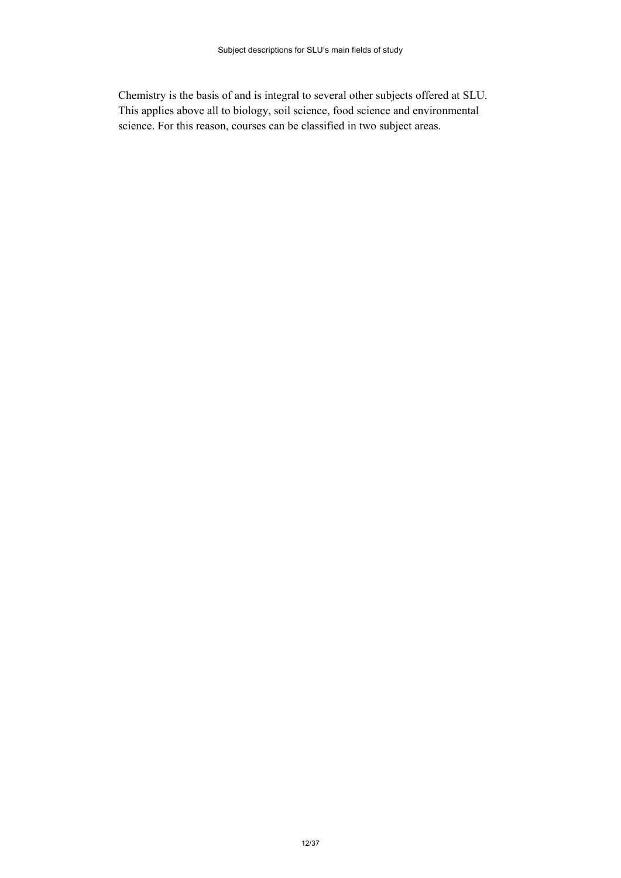Chemistry is the basis of and is integral to several other subjects offered at SLU. This applies above all to biology, soil science, food science and environmental science. For this reason, courses can be classified in two subject areas.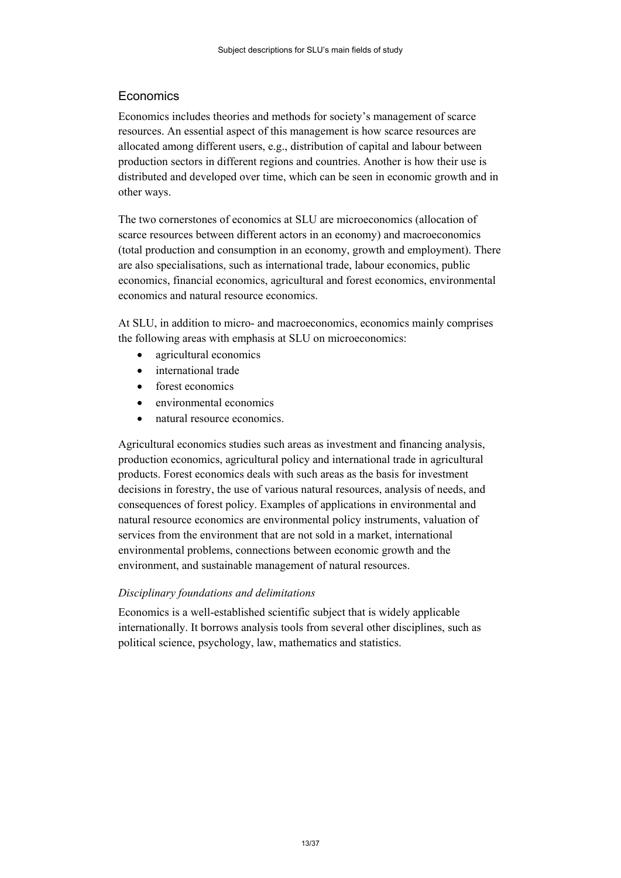# <span id="page-12-0"></span>**Economics**

Economics includes theories and methods for society's management of scarce resources. An essential aspect of this management is how scarce resources are allocated among different users, e.g., distribution of capital and labour between production sectors in different regions and countries. Another is how their use is distributed and developed over time, which can be seen in economic growth and in other ways.

The two cornerstones of economics at SLU are microeconomics (allocation of scarce resources between different actors in an economy) and macroeconomics (total production and consumption in an economy, growth and employment). There are also specialisations, such as international trade, labour economics, public economics, financial economics, agricultural and forest economics, environmental economics and natural resource economics.

At SLU, in addition to micro- and macroeconomics, economics mainly comprises the following areas with emphasis at SLU on microeconomics:

- agricultural economics
- international trade
- forest economics
- environmental economics
- natural resource economics.

Agricultural economics studies such areas as investment and financing analysis, production economics, agricultural policy and international trade in agricultural products. Forest economics deals with such areas as the basis for investment decisions in forestry, the use of various natural resources, analysis of needs, and consequences of forest policy. Examples of applications in environmental and natural resource economics are environmental policy instruments, valuation of services from the environment that are not sold in a market, international environmental problems, connections between economic growth and the environment, and sustainable management of natural resources.

#### *Disciplinary foundations and delimitations*

Economics is a well-established scientific subject that is widely applicable internationally. It borrows analysis tools from several other disciplines, such as political science, psychology, law, mathematics and statistics.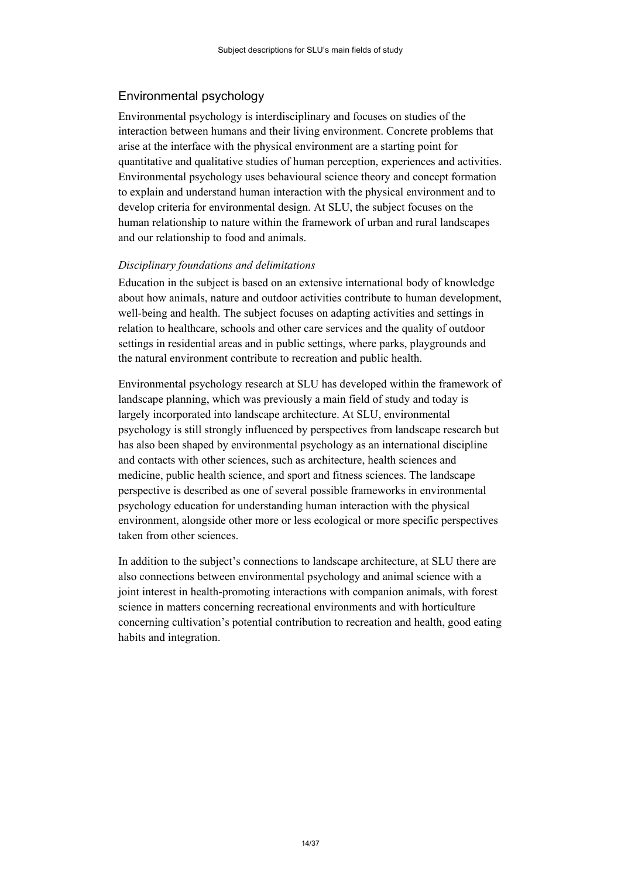## <span id="page-13-0"></span>Environmental psychology

Environmental psychology is interdisciplinary and focuses on studies of the interaction between humans and their living environment. Concrete problems that arise at the interface with the physical environment are a starting point for quantitative and qualitative studies of human perception, experiences and activities. Environmental psychology uses behavioural science theory and concept formation to explain and understand human interaction with the physical environment and to develop criteria for environmental design. At SLU, the subject focuses on the human relationship to nature within the framework of urban and rural landscapes and our relationship to food and animals.

#### *Disciplinary foundations and delimitations*

Education in the subject is based on an extensive international body of knowledge about how animals, nature and outdoor activities contribute to human development, well-being and health. The subject focuses on adapting activities and settings in relation to healthcare, schools and other care services and the quality of outdoor settings in residential areas and in public settings, where parks, playgrounds and the natural environment contribute to recreation and public health.

Environmental psychology research at SLU has developed within the framework of landscape planning, which was previously a main field of study and today is largely incorporated into landscape architecture. At SLU, environmental psychology is still strongly influenced by perspectives from landscape research but has also been shaped by environmental psychology as an international discipline and contacts with other sciences, such as architecture, health sciences and medicine, public health science, and sport and fitness sciences. The landscape perspective is described as one of several possible frameworks in environmental psychology education for understanding human interaction with the physical environment, alongside other more or less ecological or more specific perspectives taken from other sciences.

In addition to the subject's connections to landscape architecture, at SLU there are also connections between environmental psychology and animal science with a joint interest in health-promoting interactions with companion animals, with forest science in matters concerning recreational environments and with horticulture concerning cultivation's potential contribution to recreation and health, good eating habits and integration.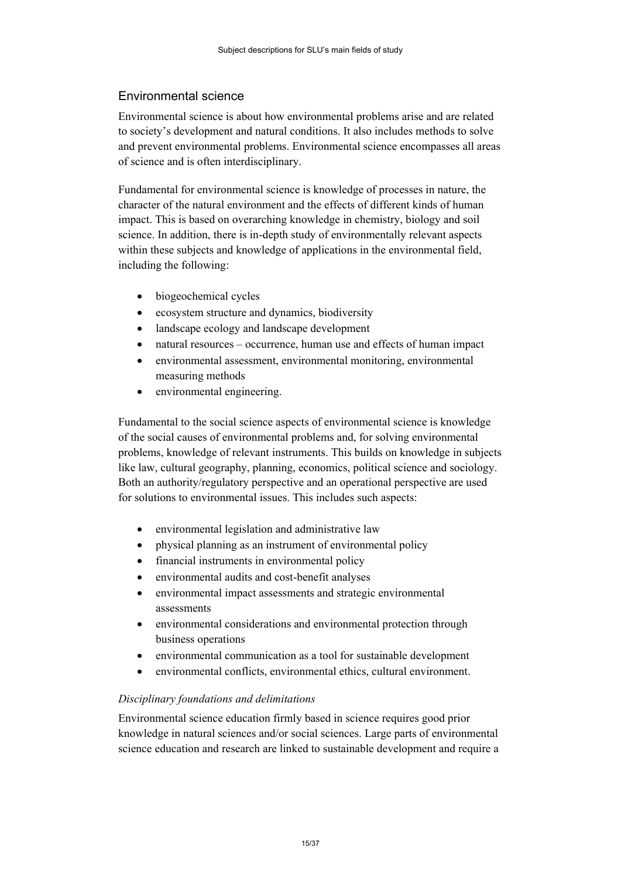# <span id="page-14-0"></span>Environmental science

Environmental science is about how environmental problems arise and are related to society's development and natural conditions. It also includes methods to solve and prevent environmental problems. Environmental science encompasses all areas of science and is often interdisciplinary.

Fundamental for environmental science is knowledge of processes in nature, the character of the natural environment and the effects of different kinds of human impact. This is based on overarching knowledge in chemistry, biology and soil science. In addition, there is in-depth study of environmentally relevant aspects within these subjects and knowledge of applications in the environmental field, including the following:

- biogeochemical cycles
- ecosystem structure and dynamics, biodiversity
- landscape ecology and landscape development
- natural resources occurrence, human use and effects of human impact
- environmental assessment, environmental monitoring, environmental measuring methods
- environmental engineering.

Fundamental to the social science aspects of environmental science is knowledge of the social causes of environmental problems and, for solving environmental problems, knowledge of relevant instruments. This builds on knowledge in subjects like law, cultural geography, planning, economics, political science and sociology. Both an authority/regulatory perspective and an operational perspective are used for solutions to environmental issues. This includes such aspects:

- environmental legislation and administrative law
- physical planning as an instrument of environmental policy
- financial instruments in environmental policy
- environmental audits and cost-benefit analyses
- environmental impact assessments and strategic environmental assessments
- environmental considerations and environmental protection through business operations
- environmental communication as a tool for sustainable development
- environmental conflicts, environmental ethics, cultural environment.

## *Disciplinary foundations and delimitations*

Environmental science education firmly based in science requires good prior knowledge in natural sciences and/or social sciences. Large parts of environmental science education and research are linked to sustainable development and require a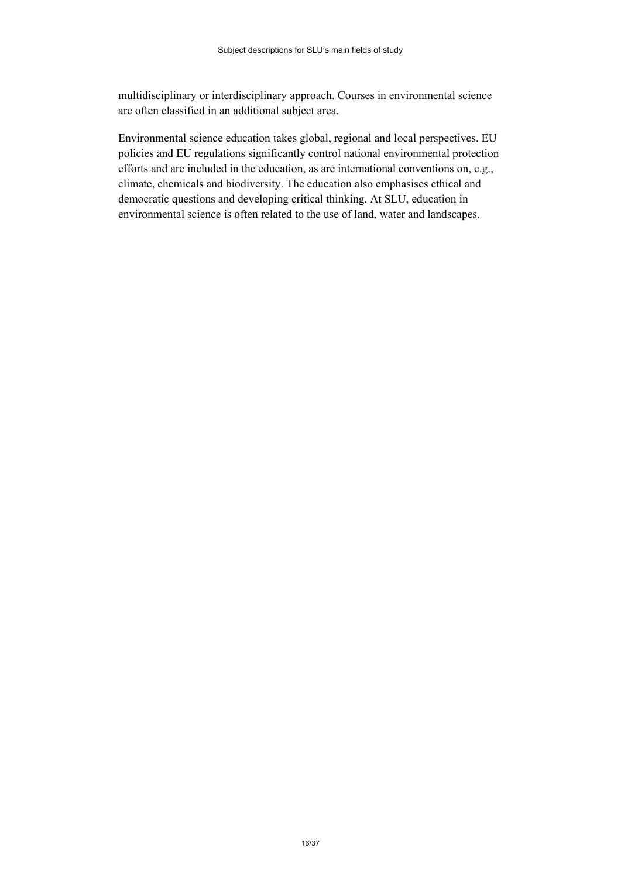multidisciplinary or interdisciplinary approach. Courses in environmental science are often classified in an additional subject area.

Environmental science education takes global, regional and local perspectives. EU policies and EU regulations significantly control national environmental protection efforts and are included in the education, as are international conventions on, e.g., climate, chemicals and biodiversity. The education also emphasises ethical and democratic questions and developing critical thinking. At SLU, education in environmental science is often related to the use of land, water and landscapes.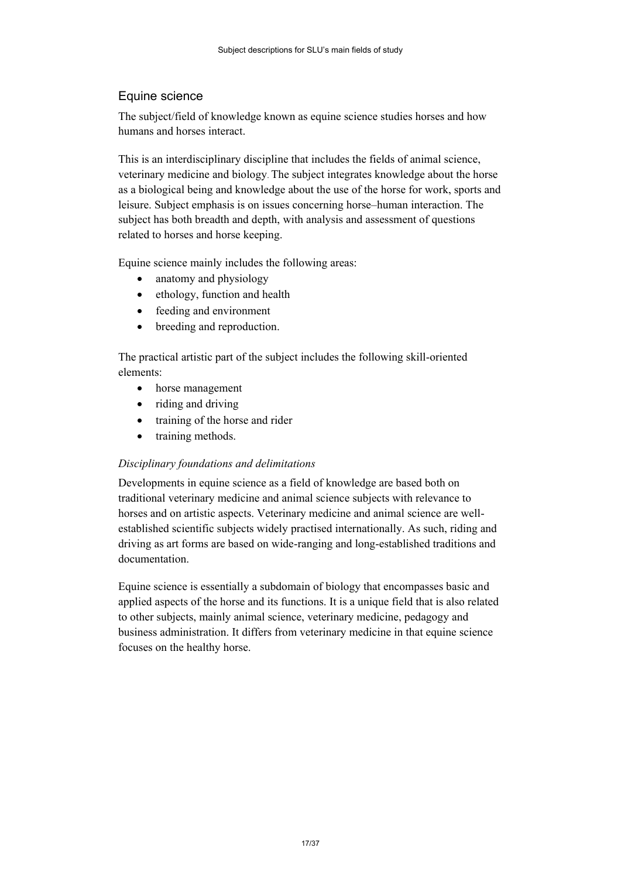# <span id="page-16-0"></span>Equine science

The subject/field of knowledge known as equine science studies horses and how humans and horses interact.

This is an interdisciplinary discipline that includes the fields of animal science, veterinary medicine and biology. The subject integrates knowledge about the horse as a biological being and knowledge about the use of the horse for work, sports and leisure. Subject emphasis is on issues concerning horse–human interaction. The subject has both breadth and depth, with analysis and assessment of questions related to horses and horse keeping.

Equine science mainly includes the following areas:

- anatomy and physiology
- ethology, function and health
- feeding and environment
- breeding and reproduction.

The practical artistic part of the subject includes the following skill-oriented elements:

- horse management
- riding and driving
- training of the horse and rider
- training methods.

#### *Disciplinary foundations and delimitations*

Developments in equine science as a field of knowledge are based both on traditional veterinary medicine and animal science subjects with relevance to horses and on artistic aspects. Veterinary medicine and animal science are wellestablished scientific subjects widely practised internationally. As such, riding and driving as art forms are based on wide-ranging and long-established traditions and documentation.

Equine science is essentially a subdomain of biology that encompasses basic and applied aspects of the horse and its functions. It is a unique field that is also related to other subjects, mainly animal science, veterinary medicine, pedagogy and business administration. It differs from veterinary medicine in that equine science focuses on the healthy horse.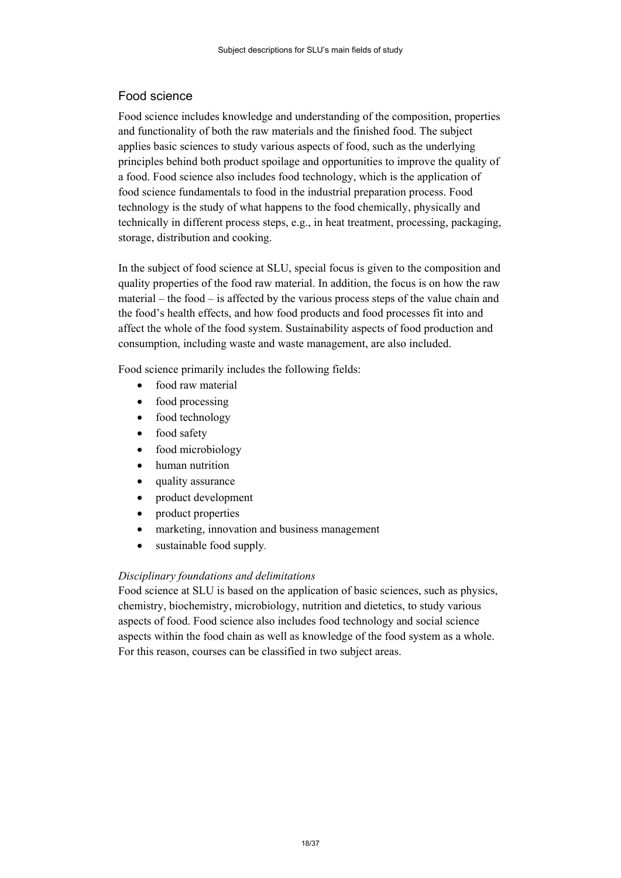# <span id="page-17-0"></span>Food science

Food science includes knowledge and understanding of the composition, properties and functionality of both the raw materials and the finished food. The subject applies basic sciences to study various aspects of food, such as the underlying principles behind both product spoilage and opportunities to improve the quality of a food. Food science also includes food technology, which is the application of food science fundamentals to food in the industrial preparation process. Food technology is the study of what happens to the food chemically, physically and technically in different process steps, e.g., in heat treatment, processing, packaging, storage, distribution and cooking.

In the subject of food science at SLU, special focus is given to the composition and quality properties of the food raw material. In addition, the focus is on how the raw material – the food – is affected by the various process steps of the value chain and the food's health effects, and how food products and food processes fit into and affect the whole of the food system. Sustainability aspects of food production and consumption, including waste and waste management, are also included.

Food science primarily includes the following fields:

- food raw material
- food processing
- food technology
- food safety
- food microbiology
- human nutrition
- quality assurance
- product development
- product properties
- marketing, innovation and business management
- sustainable food supply*.*

#### *Disciplinary foundations and delimitations*

Food science at SLU is based on the application of basic sciences, such as physics, chemistry, biochemistry, microbiology, nutrition and dietetics, to study various aspects of food. Food science also includes food technology and social science aspects within the food chain as well as knowledge of the food system as a whole. For this reason, courses can be classified in two subject areas.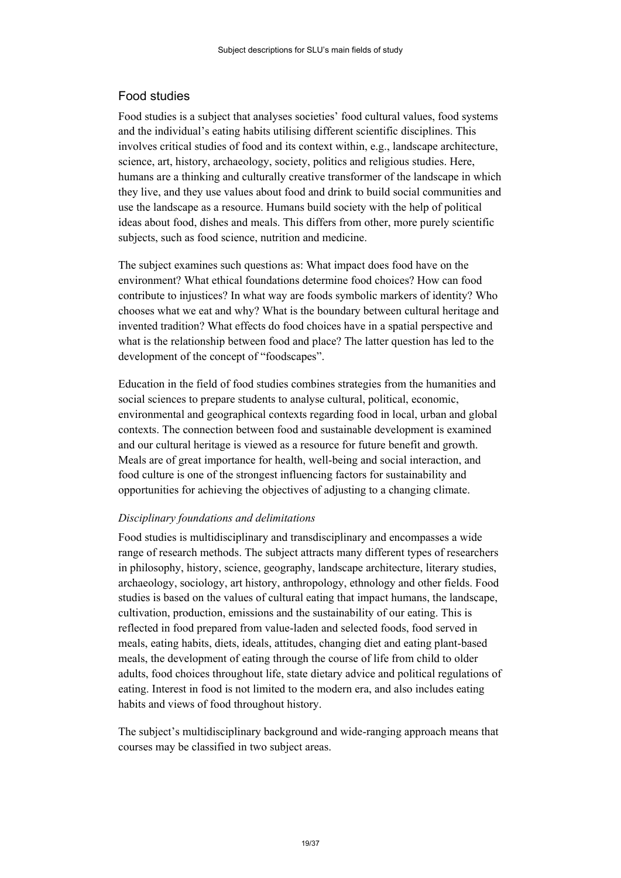# <span id="page-18-0"></span>Food studies

Food studies is a subject that analyses societies' food cultural values, food systems and the individual's eating habits utilising different scientific disciplines. This involves critical studies of food and its context within, e.g., landscape architecture, science, art, history, archaeology, society, politics and religious studies. Here, humans are a thinking and culturally creative transformer of the landscape in which they live, and they use values about food and drink to build social communities and use the landscape as a resource. Humans build society with the help of political ideas about food, dishes and meals. This differs from other, more purely scientific subjects, such as food science, nutrition and medicine.

The subject examines such questions as: What impact does food have on the environment? What ethical foundations determine food choices? How can food contribute to injustices? In what way are foods symbolic markers of identity? Who chooses what we eat and why? What is the boundary between cultural heritage and invented tradition? What effects do food choices have in a spatial perspective and what is the relationship between food and place? The latter question has led to the development of the concept of "foodscapes".

Education in the field of food studies combines strategies from the humanities and social sciences to prepare students to analyse cultural, political, economic, environmental and geographical contexts regarding food in local, urban and global contexts. The connection between food and sustainable development is examined and our cultural heritage is viewed as a resource for future benefit and growth. Meals are of great importance for health, well-being and social interaction, and food culture is one of the strongest influencing factors for sustainability and opportunities for achieving the objectives of adjusting to a changing climate.

#### *Disciplinary foundations and delimitations*

Food studies is multidisciplinary and transdisciplinary and encompasses a wide range of research methods. The subject attracts many different types of researchers in philosophy, history, science, geography, landscape architecture, literary studies, archaeology, sociology, art history, anthropology, ethnology and other fields. Food studies is based on the values of cultural eating that impact humans, the landscape, cultivation, production, emissions and the sustainability of our eating. This is reflected in food prepared from value-laden and selected foods, food served in meals, eating habits, diets, ideals, attitudes, changing diet and eating plant-based meals, the development of eating through the course of life from child to older adults, food choices throughout life, state dietary advice and political regulations of eating. Interest in food is not limited to the modern era, and also includes eating habits and views of food throughout history.

The subject's multidisciplinary background and wide-ranging approach means that courses may be classified in two subject areas.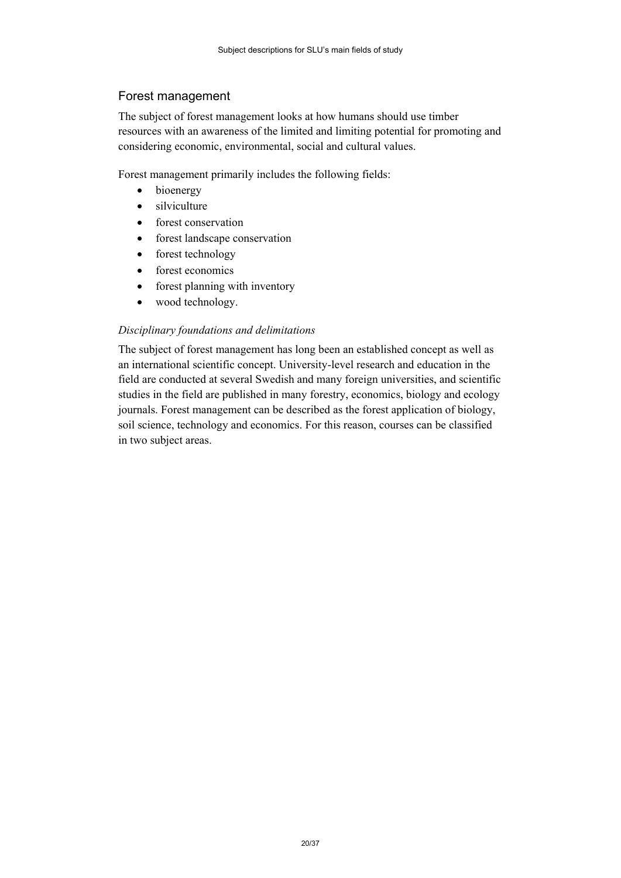# <span id="page-19-0"></span>Forest management

The subject of forest management looks at how humans should use timber resources with an awareness of the limited and limiting potential for promoting and considering economic, environmental, social and cultural values.

Forest management primarily includes the following fields:

- bioenergy
- silviculture
- forest conservation
- **•** forest landscape conservation
- forest technology
- forest economics
- forest planning with inventory
- wood technology.

## *Disciplinary foundations and delimitations*

The subject of forest management has long been an established concept as well as an international scientific concept. University-level research and education in the field are conducted at several Swedish and many foreign universities, and scientific studies in the field are published in many forestry, economics, biology and ecology journals. Forest management can be described as the forest application of biology, soil science, technology and economics. For this reason, courses can be classified in two subject areas.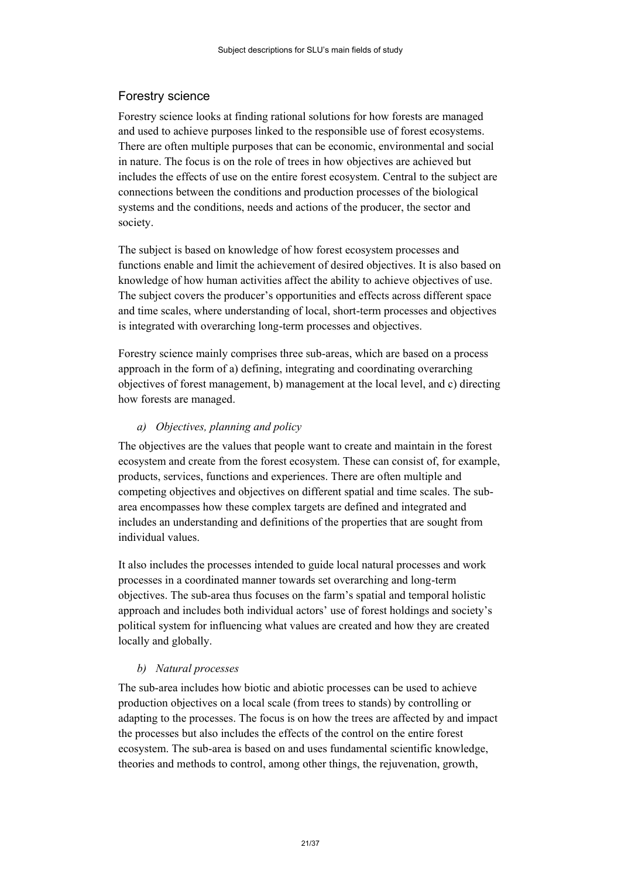# <span id="page-20-0"></span>Forestry science

Forestry science looks at finding rational solutions for how forests are managed and used to achieve purposes linked to the responsible use of forest ecosystems. There are often multiple purposes that can be economic, environmental and social in nature. The focus is on the role of trees in how objectives are achieved but includes the effects of use on the entire forest ecosystem. Central to the subject are connections between the conditions and production processes of the biological systems and the conditions, needs and actions of the producer, the sector and society.

The subject is based on knowledge of how forest ecosystem processes and functions enable and limit the achievement of desired objectives. It is also based on knowledge of how human activities affect the ability to achieve objectives of use. The subject covers the producer's opportunities and effects across different space and time scales, where understanding of local, short-term processes and objectives is integrated with overarching long-term processes and objectives.

Forestry science mainly comprises three sub-areas, which are based on a process approach in the form of a) defining, integrating and coordinating overarching objectives of forest management, b) management at the local level, and c) directing how forests are managed.

#### *a) Objectives, planning and policy*

The objectives are the values that people want to create and maintain in the forest ecosystem and create from the forest ecosystem. These can consist of, for example, products, services, functions and experiences. There are often multiple and competing objectives and objectives on different spatial and time scales. The subarea encompasses how these complex targets are defined and integrated and includes an understanding and definitions of the properties that are sought from individual values.

It also includes the processes intended to guide local natural processes and work processes in a coordinated manner towards set overarching and long-term objectives. The sub-area thus focuses on the farm's spatial and temporal holistic approach and includes both individual actors' use of forest holdings and society's political system for influencing what values are created and how they are created locally and globally.

#### *b) Natural processes*

The sub-area includes how biotic and abiotic processes can be used to achieve production objectives on a local scale (from trees to stands) by controlling or adapting to the processes. The focus is on how the trees are affected by and impact the processes but also includes the effects of the control on the entire forest ecosystem. The sub-area is based on and uses fundamental scientific knowledge, theories and methods to control, among other things, the rejuvenation, growth,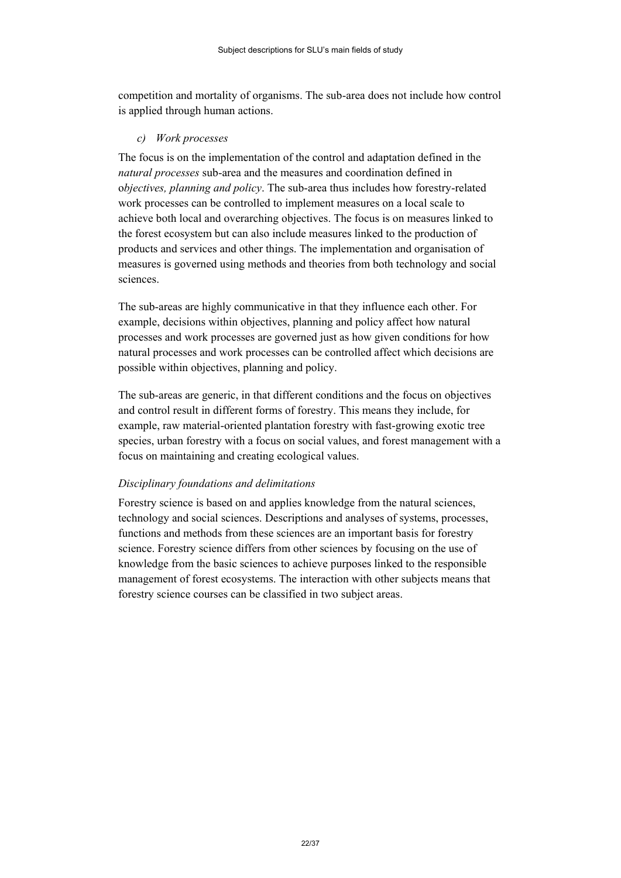competition and mortality of organisms. The sub-area does not include how control is applied through human actions.

#### *c) Work processes*

The focus is on the implementation of the control and adaptation defined in the *natural processes* sub-area and the measures and coordination defined in o*bjectives, planning and policy*. The sub-area thus includes how forestry-related work processes can be controlled to implement measures on a local scale to achieve both local and overarching objectives. The focus is on measures linked to the forest ecosystem but can also include measures linked to the production of products and services and other things. The implementation and organisation of measures is governed using methods and theories from both technology and social sciences.

The sub-areas are highly communicative in that they influence each other. For example, decisions within objectives, planning and policy affect how natural processes and work processes are governed just as how given conditions for how natural processes and work processes can be controlled affect which decisions are possible within objectives, planning and policy.

The sub-areas are generic, in that different conditions and the focus on objectives and control result in different forms of forestry. This means they include, for example, raw material-oriented plantation forestry with fast-growing exotic tree species, urban forestry with a focus on social values, and forest management with a focus on maintaining and creating ecological values.

#### *Disciplinary foundations and delimitations*

Forestry science is based on and applies knowledge from the natural sciences, technology and social sciences. Descriptions and analyses of systems, processes, functions and methods from these sciences are an important basis for forestry science. Forestry science differs from other sciences by focusing on the use of knowledge from the basic sciences to achieve purposes linked to the responsible management of forest ecosystems. The interaction with other subjects means that forestry science courses can be classified in two subject areas.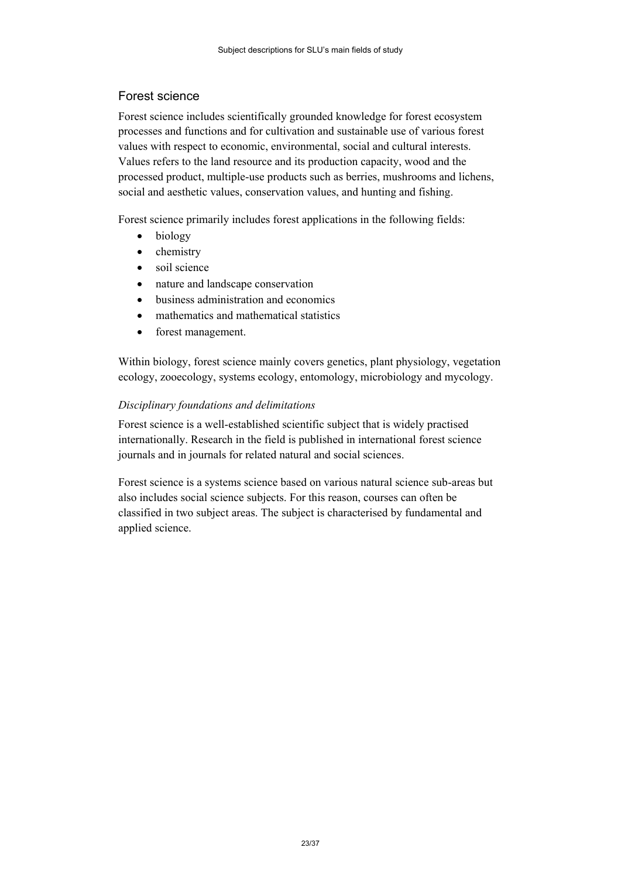# <span id="page-22-0"></span>Forest science

Forest science includes scientifically grounded knowledge for forest ecosystem processes and functions and for cultivation and sustainable use of various forest values with respect to economic, environmental, social and cultural interests. Values refers to the land resource and its production capacity, wood and the processed product, multiple-use products such as berries, mushrooms and lichens, social and aesthetic values, conservation values, and hunting and fishing.

Forest science primarily includes forest applications in the following fields:

- biology
- chemistry
- soil science
- nature and landscape conservation
- business administration and economics
- mathematics and mathematical statistics
- forest management.

Within biology, forest science mainly covers genetics, plant physiology, vegetation ecology, zooecology, systems ecology, entomology, microbiology and mycology.

## *Disciplinary foundations and delimitations*

Forest science is a well-established scientific subject that is widely practised internationally. Research in the field is published in international forest science journals and in journals for related natural and social sciences.

Forest science is a systems science based on various natural science sub-areas but also includes social science subjects. For this reason, courses can often be classified in two subject areas. The subject is characterised by fundamental and applied science.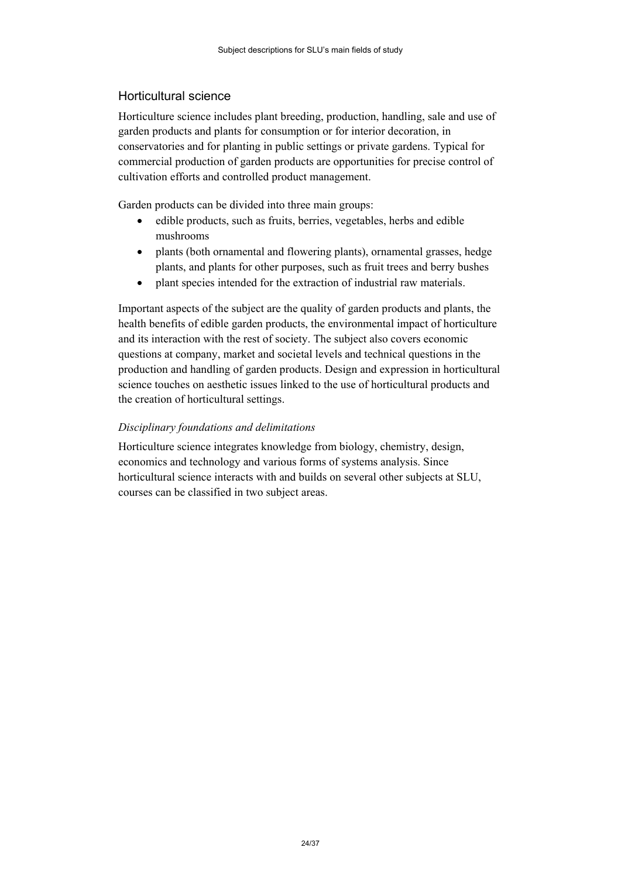# <span id="page-23-0"></span>Horticultural science

Horticulture science includes plant breeding, production, handling, sale and use of garden products and plants for consumption or for interior decoration, in conservatories and for planting in public settings or private gardens. Typical for commercial production of garden products are opportunities for precise control of cultivation efforts and controlled product management.

Garden products can be divided into three main groups:

- edible products, such as fruits, berries, vegetables, herbs and edible mushrooms
- plants (both ornamental and flowering plants), ornamental grasses, hedge plants, and plants for other purposes, such as fruit trees and berry bushes
- plant species intended for the extraction of industrial raw materials.

Important aspects of the subject are the quality of garden products and plants, the health benefits of edible garden products, the environmental impact of horticulture and its interaction with the rest of society. The subject also covers economic questions at company, market and societal levels and technical questions in the production and handling of garden products. Design and expression in horticultural science touches on aesthetic issues linked to the use of horticultural products and the creation of horticultural settings.

## *Disciplinary foundations and delimitations*

Horticulture science integrates knowledge from biology, chemistry, design, economics and technology and various forms of systems analysis. Since horticultural science interacts with and builds on several other subjects at SLU, courses can be classified in two subject areas.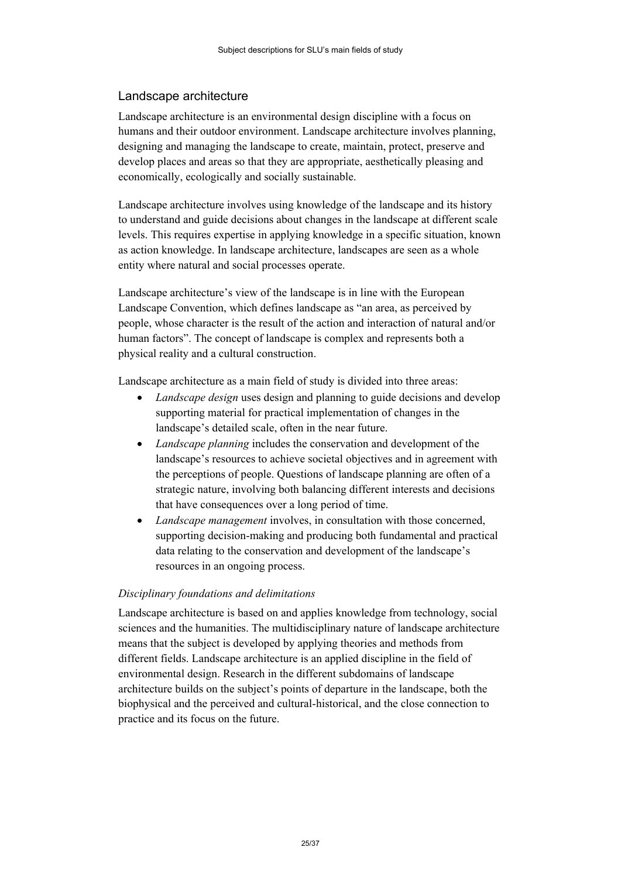## <span id="page-24-0"></span>Landscape architecture

Landscape architecture is an environmental design discipline with a focus on humans and their outdoor environment. Landscape architecture involves planning, designing and managing the landscape to create, maintain, protect, preserve and develop places and areas so that they are appropriate, aesthetically pleasing and economically, ecologically and socially sustainable.

Landscape architecture involves using knowledge of the landscape and its history to understand and guide decisions about changes in the landscape at different scale levels. This requires expertise in applying knowledge in a specific situation, known as action knowledge. In landscape architecture, landscapes are seen as a whole entity where natural and social processes operate.

Landscape architecture's view of the landscape is in line with the European Landscape Convention, which defines landscape as "an area, as perceived by people, whose character is the result of the action and interaction of natural and/or human factors". The concept of landscape is complex and represents both a physical reality and a cultural construction.

Landscape architecture as a main field of study is divided into three areas:

- *Landscape design* uses design and planning to guide decisions and develop supporting material for practical implementation of changes in the landscape's detailed scale, often in the near future.
- *Landscape planning* includes the conservation and development of the landscape's resources to achieve societal objectives and in agreement with the perceptions of people. Questions of landscape planning are often of a strategic nature, involving both balancing different interests and decisions that have consequences over a long period of time.
- *Landscape management* involves, in consultation with those concerned, supporting decision-making and producing both fundamental and practical data relating to the conservation and development of the landscape's resources in an ongoing process.

#### *Disciplinary foundations and delimitations*

Landscape architecture is based on and applies knowledge from technology, social sciences and the humanities. The multidisciplinary nature of landscape architecture means that the subject is developed by applying theories and methods from different fields. Landscape architecture is an applied discipline in the field of environmental design. Research in the different subdomains of landscape architecture builds on the subject's points of departure in the landscape, both the biophysical and the perceived and cultural-historical, and the close connection to practice and its focus on the future.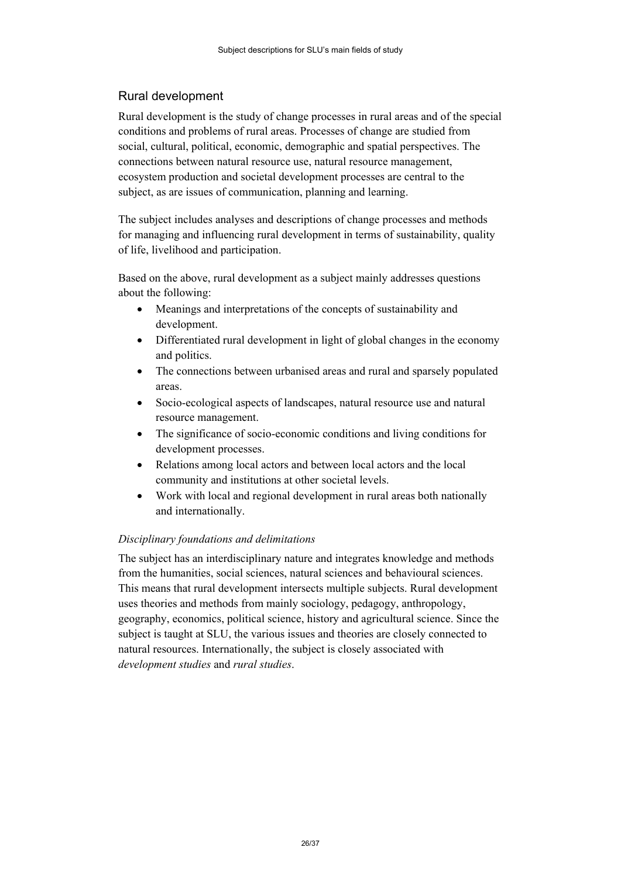# <span id="page-25-0"></span>Rural development

Rural development is the study of change processes in rural areas and of the special conditions and problems of rural areas. Processes of change are studied from social, cultural, political, economic, demographic and spatial perspectives. The connections between natural resource use, natural resource management, ecosystem production and societal development processes are central to the subject, as are issues of communication, planning and learning.

The subject includes analyses and descriptions of change processes and methods for managing and influencing rural development in terms of sustainability, quality of life, livelihood and participation.

Based on the above, rural development as a subject mainly addresses questions about the following:

- Meanings and interpretations of the concepts of sustainability and development.
- Differentiated rural development in light of global changes in the economy and politics.
- The connections between urbanised areas and rural and sparsely populated areas.
- Socio-ecological aspects of landscapes, natural resource use and natural resource management.
- The significance of socio-economic conditions and living conditions for development processes.
- Relations among local actors and between local actors and the local community and institutions at other societal levels.
- Work with local and regional development in rural areas both nationally and internationally.

## *Disciplinary foundations and delimitations*

The subject has an interdisciplinary nature and integrates knowledge and methods from the humanities, social sciences, natural sciences and behavioural sciences. This means that rural development intersects multiple subjects. Rural development uses theories and methods from mainly sociology, pedagogy, anthropology, geography, economics, political science, history and agricultural science. Since the subject is taught at SLU, the various issues and theories are closely connected to natural resources. Internationally, the subject is closely associated with *development studies* and *rural studies*.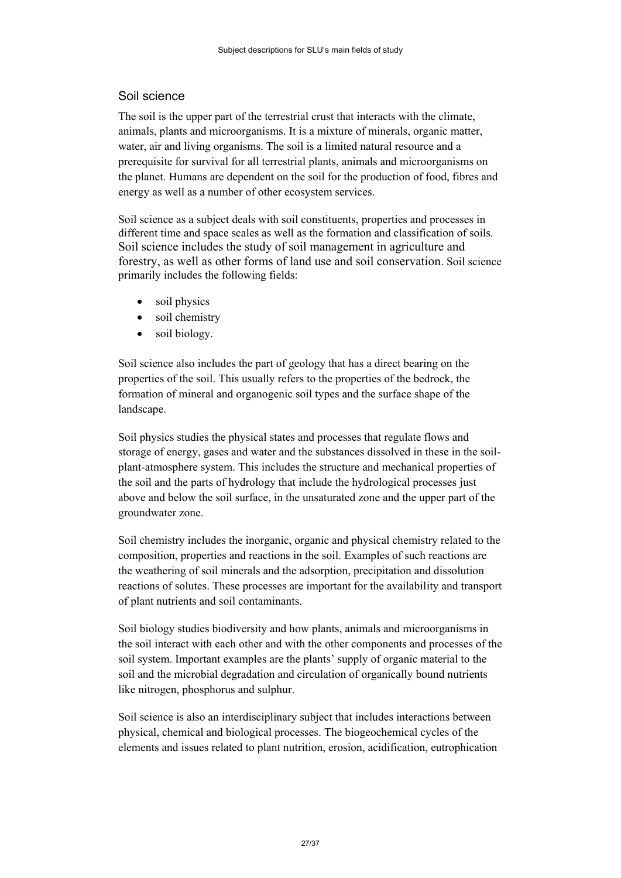# <span id="page-26-0"></span>Soil science

The soil is the upper part of the terrestrial crust that interacts with the climate, animals, plants and microorganisms. It is a mixture of minerals, organic matter, water, air and living organisms. The soil is a limited natural resource and a prerequisite for survival for all terrestrial plants, animals and microorganisms on the planet. Humans are dependent on the soil for the production of food, fibres and energy as well as a number of other ecosystem services.

Soil science as a subject deals with soil constituents, properties and processes in different time and space scales as well as the formation and classification of soils. Soil science includes the study of soil management in agriculture and forestry, as well as other forms of land use and soil conservation. Soil science primarily includes the following fields:

- soil physics
- soil chemistry
- soil biology.

Soil science also includes the part of geology that has a direct bearing on the properties of the soil. This usually refers to the properties of the bedrock, the formation of mineral and organogenic soil types and the surface shape of the landscape.

Soil physics studies the physical states and processes that regulate flows and storage of energy, gases and water and the substances dissolved in these in the soilplant-atmosphere system. This includes the structure and mechanical properties of the soil and the parts of hydrology that include the hydrological processes just above and below the soil surface, in the unsaturated zone and the upper part of the groundwater zone.

Soil chemistry includes the inorganic, organic and physical chemistry related to the composition, properties and reactions in the soil. Examples of such reactions are the weathering of soil minerals and the adsorption, precipitation and dissolution reactions of solutes. These processes are important for the availability and transport of plant nutrients and soil contaminants.

Soil biology studies biodiversity and how plants, animals and microorganisms in the soil interact with each other and with the other components and processes of the soil system. Important examples are the plants' supply of organic material to the soil and the microbial degradation and circulation of organically bound nutrients like nitrogen, phosphorus and sulphur.

Soil science is also an interdisciplinary subject that includes interactions between physical, chemical and biological processes. The biogeochemical cycles of the elements and issues related to plant nutrition, erosion, acidification, eutrophication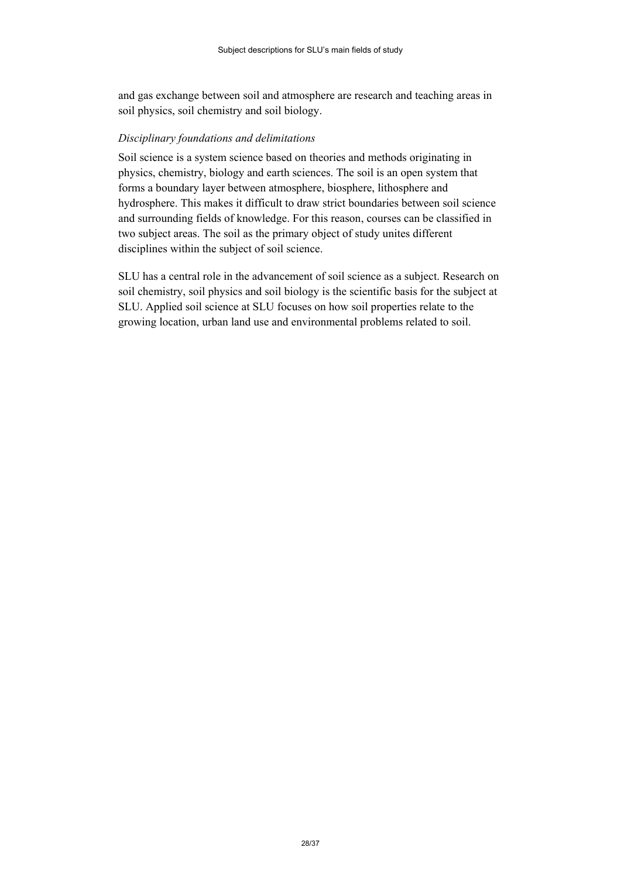and gas exchange between soil and atmosphere are research and teaching areas in soil physics, soil chemistry and soil biology.

#### *Disciplinary foundations and delimitations*

Soil science is a system science based on theories and methods originating in physics, chemistry, biology and earth sciences. The soil is an open system that forms a boundary layer between atmosphere, biosphere, lithosphere and hydrosphere. This makes it difficult to draw strict boundaries between soil science and surrounding fields of knowledge. For this reason, courses can be classified in two subject areas. The soil as the primary object of study unites different disciplines within the subject of soil science.

SLU has a central role in the advancement of soil science as a subject. Research on soil chemistry, soil physics and soil biology is the scientific basis for the subject at SLU. Applied soil science at SLU focuses on how soil properties relate to the growing location, urban land use and environmental problems related to soil.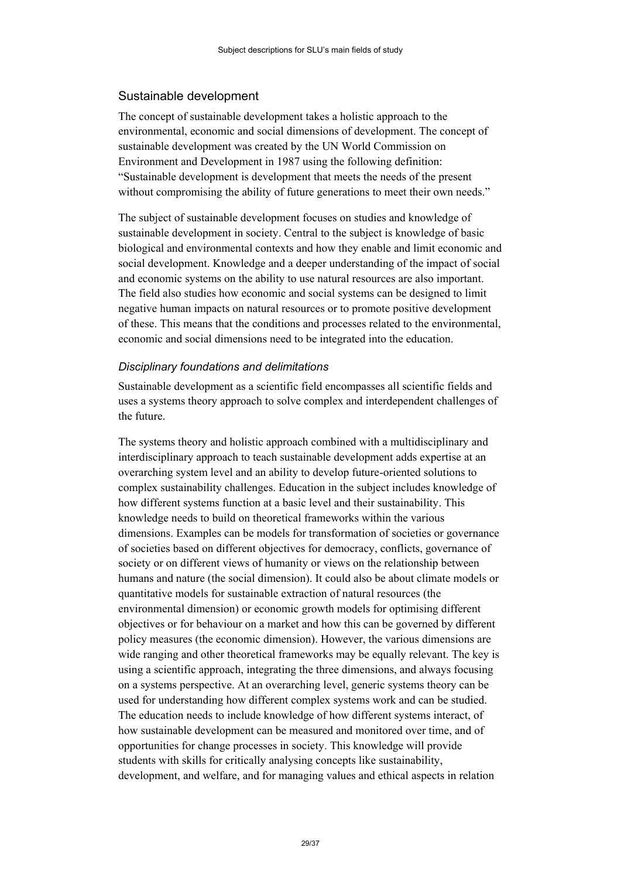## <span id="page-28-0"></span>Sustainable development

The concept of sustainable development takes a holistic approach to the environmental, economic and social dimensions of development. The concept of sustainable development was created by the UN World Commission on Environment and Development in 1987 using the following definition: "Sustainable development is development that meets the needs of the present without compromising the ability of future generations to meet their own needs."

The subject of sustainable development focuses on studies and knowledge of sustainable development in society. Central to the subject is knowledge of basic biological and environmental contexts and how they enable and limit economic and social development. Knowledge and a deeper understanding of the impact of social and economic systems on the ability to use natural resources are also important. The field also studies how economic and social systems can be designed to limit negative human impacts on natural resources or to promote positive development of these. This means that the conditions and processes related to the environmental, economic and social dimensions need to be integrated into the education.

#### *Disciplinary foundations and delimitations*

Sustainable development as a scientific field encompasses all scientific fields and uses a systems theory approach to solve complex and interdependent challenges of the future.

The systems theory and holistic approach combined with a multidisciplinary and interdisciplinary approach to teach sustainable development adds expertise at an overarching system level and an ability to develop future-oriented solutions to complex sustainability challenges. Education in the subject includes knowledge of how different systems function at a basic level and their sustainability. This knowledge needs to build on theoretical frameworks within the various dimensions. Examples can be models for transformation of societies or governance of societies based on different objectives for democracy, conflicts, governance of society or on different views of humanity or views on the relationship between humans and nature (the social dimension). It could also be about climate models or quantitative models for sustainable extraction of natural resources (the environmental dimension) or economic growth models for optimising different objectives or for behaviour on a market and how this can be governed by different policy measures (the economic dimension). However, the various dimensions are wide ranging and other theoretical frameworks may be equally relevant. The key is using a scientific approach, integrating the three dimensions, and always focusing on a systems perspective. At an overarching level, generic systems theory can be used for understanding how different complex systems work and can be studied. The education needs to include knowledge of how different systems interact, of how sustainable development can be measured and monitored over time, and of opportunities for change processes in society. This knowledge will provide students with skills for critically analysing concepts like sustainability, development, and welfare, and for managing values and ethical aspects in relation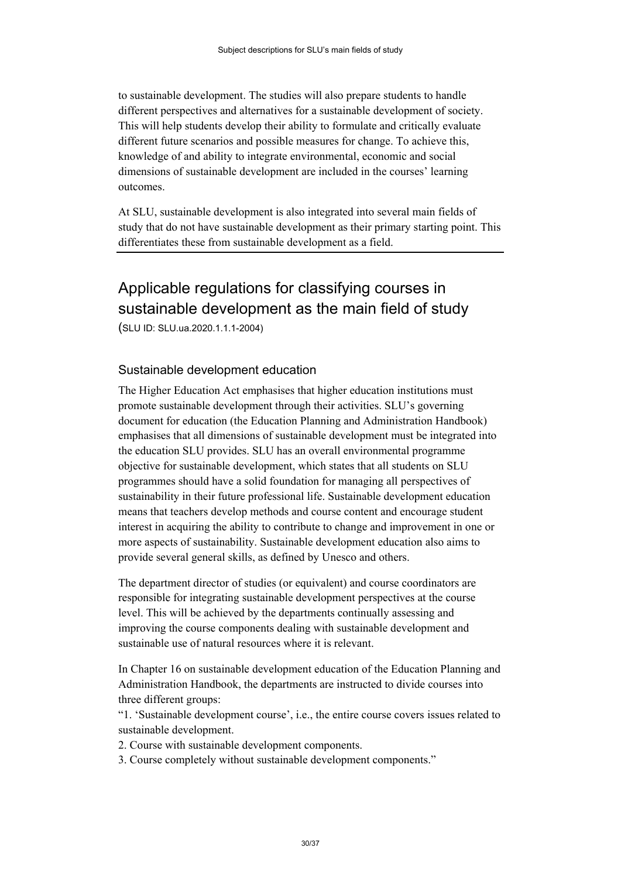to sustainable development. The studies will also prepare students to handle different perspectives and alternatives for a sustainable development of society. This will help students develop their ability to formulate and critically evaluate different future scenarios and possible measures for change. To achieve this, knowledge of and ability to integrate environmental, economic and social dimensions of sustainable development are included in the courses' learning outcomes.

At SLU, sustainable development is also integrated into several main fields of study that do not have sustainable development as their primary starting point. This differentiates these from sustainable development as a field.

# Applicable regulations for classifying courses in sustainable development as the main field of study

(SLU ID: SLU.ua.2020.1.1.1-2004)

## Sustainable development education

The Higher Education Act emphasises that higher education institutions must promote sustainable development through their activities. SLU's governing document for education (the Education Planning and Administration Handbook) emphasises that all dimensions of sustainable development must be integrated into the education SLU provides. SLU has an overall environmental programme objective for sustainable development, which states that all students on SLU programmes should have a solid foundation for managing all perspectives of sustainability in their future professional life. Sustainable development education means that teachers develop methods and course content and encourage student interest in acquiring the ability to contribute to change and improvement in one or more aspects of sustainability. Sustainable development education also aims to provide several general skills, as defined by Unesco and others.

The department director of studies (or equivalent) and course coordinators are responsible for integrating sustainable development perspectives at the course level. This will be achieved by the departments continually assessing and improving the course components dealing with sustainable development and sustainable use of natural resources where it is relevant.

In Chapter 16 on sustainable development education of the Education Planning and Administration Handbook, the departments are instructed to divide courses into three different groups:

"1. 'Sustainable development course', i.e., the entire course covers issues related to sustainable development.

2. Course with sustainable development components.

3. Course completely without sustainable development components."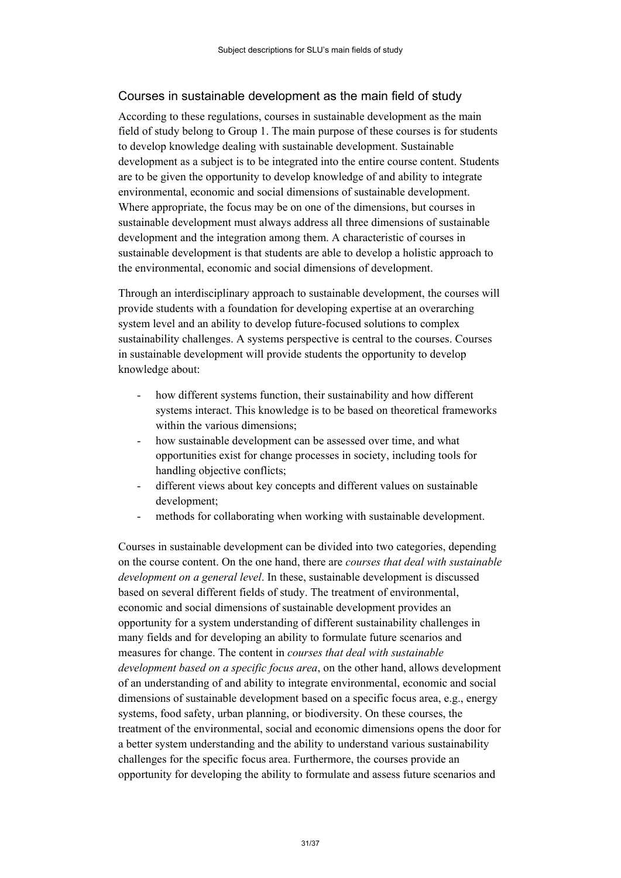# Courses in sustainable development as the main field of study

According to these regulations, courses in sustainable development as the main field of study belong to Group 1. The main purpose of these courses is for students to develop knowledge dealing with sustainable development. Sustainable development as a subject is to be integrated into the entire course content. Students are to be given the opportunity to develop knowledge of and ability to integrate environmental, economic and social dimensions of sustainable development. Where appropriate, the focus may be on one of the dimensions, but courses in sustainable development must always address all three dimensions of sustainable development and the integration among them. A characteristic of courses in sustainable development is that students are able to develop a holistic approach to the environmental, economic and social dimensions of development.

Through an interdisciplinary approach to sustainable development, the courses will provide students with a foundation for developing expertise at an overarching system level and an ability to develop future-focused solutions to complex sustainability challenges. A systems perspective is central to the courses. Courses in sustainable development will provide students the opportunity to develop knowledge about:

- how different systems function, their sustainability and how different systems interact. This knowledge is to be based on theoretical frameworks within the various dimensions;
- how sustainable development can be assessed over time, and what opportunities exist for change processes in society, including tools for handling objective conflicts;
- different views about key concepts and different values on sustainable development;
- methods for collaborating when working with sustainable development.

Courses in sustainable development can be divided into two categories, depending on the course content. On the one hand, there are *courses that deal with sustainable development on a general level*. In these, sustainable development is discussed based on several different fields of study. The treatment of environmental, economic and social dimensions of sustainable development provides an opportunity for a system understanding of different sustainability challenges in many fields and for developing an ability to formulate future scenarios and measures for change. The content in *courses that deal with sustainable development based on a specific focus area*, on the other hand, allows development of an understanding of and ability to integrate environmental, economic and social dimensions of sustainable development based on a specific focus area, e.g., energy systems, food safety, urban planning, or biodiversity. On these courses, the treatment of the environmental, social and economic dimensions opens the door for a better system understanding and the ability to understand various sustainability challenges for the specific focus area. Furthermore, the courses provide an opportunity for developing the ability to formulate and assess future scenarios and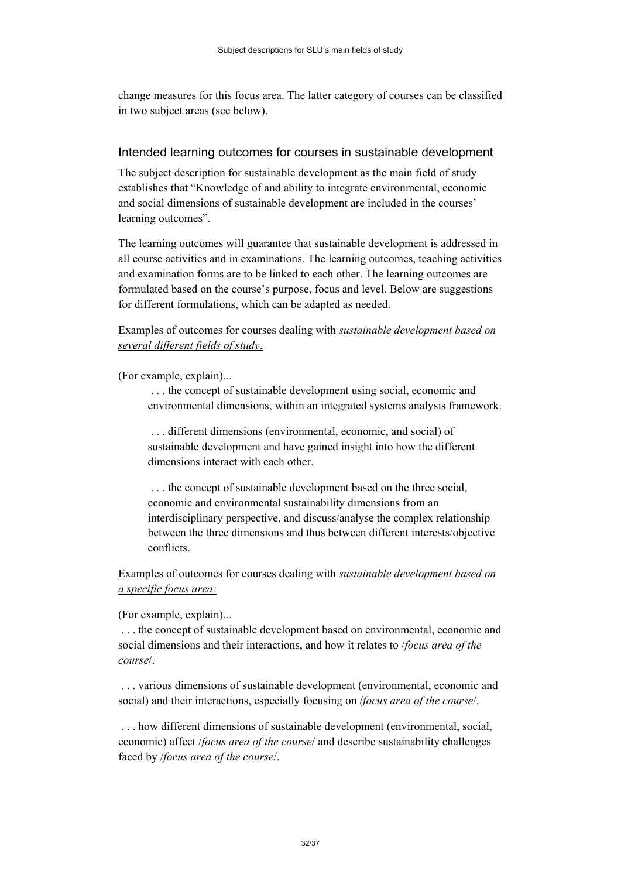change measures for this focus area. The latter category of courses can be classified in two subject areas (see below).

#### Intended learning outcomes for courses in sustainable development

The subject description for sustainable development as the main field of study establishes that "Knowledge of and ability to integrate environmental, economic and social dimensions of sustainable development are included in the courses' learning outcomes".

The learning outcomes will guarantee that sustainable development is addressed in all course activities and in examinations. The learning outcomes, teaching activities and examination forms are to be linked to each other. The learning outcomes are formulated based on the course's purpose, focus and level. Below are suggestions for different formulations, which can be adapted as needed.

## Examples of outcomes for courses dealing with *sustainable development based on several different fields of study*.

(For example, explain)...

. . . the concept of sustainable development using social, economic and environmental dimensions, within an integrated systems analysis framework.

. . . different dimensions (environmental, economic, and social) of sustainable development and have gained insight into how the different dimensions interact with each other.

. . . the concept of sustainable development based on the three social, economic and environmental sustainability dimensions from an interdisciplinary perspective, and discuss/analyse the complex relationship between the three dimensions and thus between different interests/objective conflicts.

Examples of outcomes for courses dealing with *sustainable development based on a specific focus area:*

(For example, explain)...

. . . the concept of sustainable development based on environmental, economic and social dimensions and their interactions, and how it relates to /*focus area of the course*/.

. . . various dimensions of sustainable development (environmental, economic and social) and their interactions, especially focusing on /*focus area of the course*/.

. . . how different dimensions of sustainable development (environmental, social, economic) affect /*focus area of the course*/ and describe sustainability challenges faced by /*focus area of the course*/.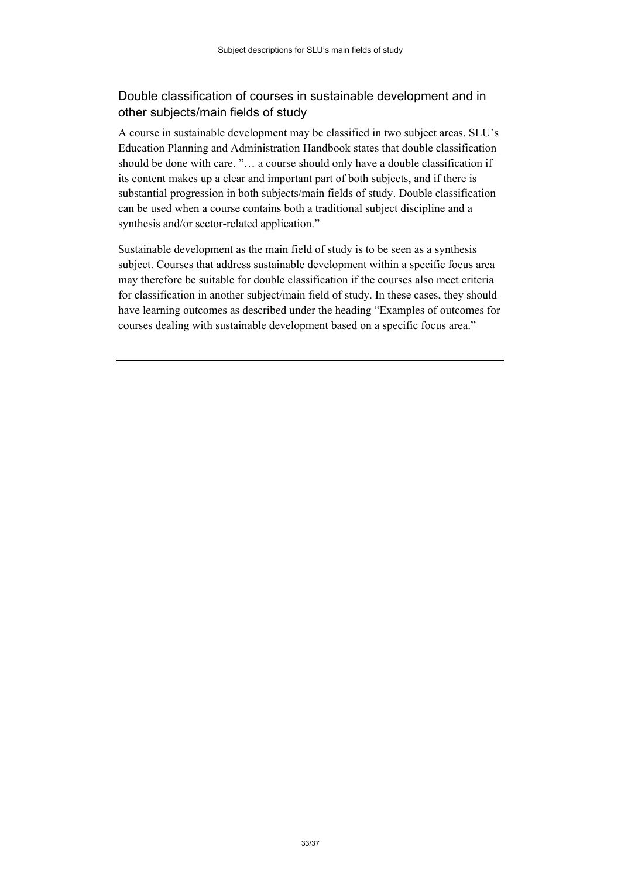# Double classification of courses in sustainable development and in other subjects/main fields of study

A course in sustainable development may be classified in two subject areas. SLU's Education Planning and Administration Handbook states that double classification should be done with care. "… a course should only have a double classification if its content makes up a clear and important part of both subjects, and if there is substantial progression in both subjects/main fields of study. Double classification can be used when a course contains both a traditional subject discipline and a synthesis and/or sector-related application."

Sustainable development as the main field of study is to be seen as a synthesis subject. Courses that address sustainable development within a specific focus area may therefore be suitable for double classification if the courses also meet criteria for classification in another subject/main field of study. In these cases, they should have learning outcomes as described under the heading "Examples of outcomes for courses dealing with sustainable development based on a specific focus area."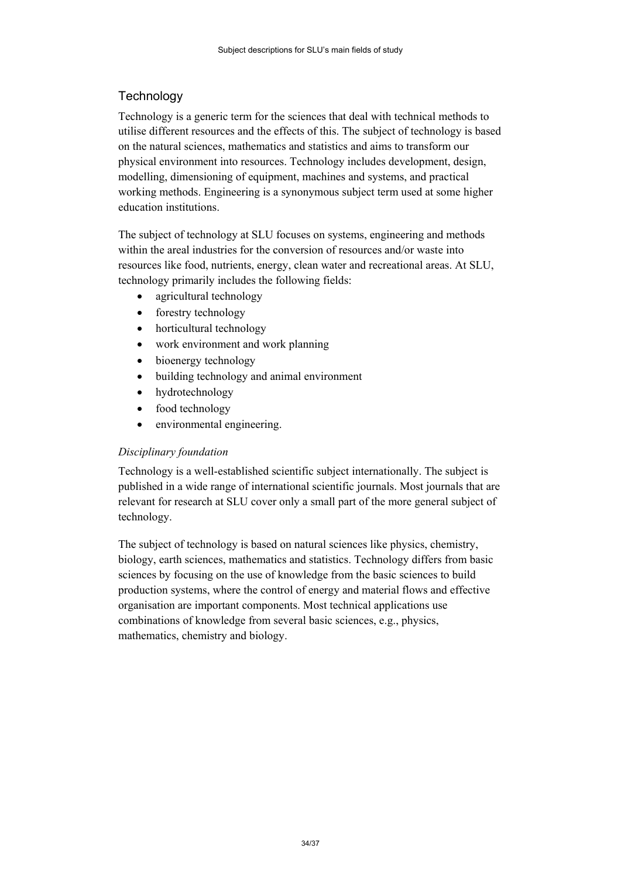# <span id="page-33-0"></span>**Technology**

Technology is a generic term for the sciences that deal with technical methods to utilise different resources and the effects of this. The subject of technology is based on the natural sciences, mathematics and statistics and aims to transform our physical environment into resources. Technology includes development, design, modelling, dimensioning of equipment, machines and systems, and practical working methods. Engineering is a synonymous subject term used at some higher education institutions.

The subject of technology at SLU focuses on systems, engineering and methods within the areal industries for the conversion of resources and/or waste into resources like food, nutrients, energy, clean water and recreational areas. At SLU, technology primarily includes the following fields:

- agricultural technology
- forestry technology
- horticultural technology
- work environment and work planning
- bioenergy technology
- building technology and animal environment
- hydrotechnology
- food technology
- environmental engineering.

## *Disciplinary foundation*

Technology is a well-established scientific subject internationally. The subject is published in a wide range of international scientific journals. Most journals that are relevant for research at SLU cover only a small part of the more general subject of technology.

The subject of technology is based on natural sciences like physics, chemistry, biology, earth sciences, mathematics and statistics. Technology differs from basic sciences by focusing on the use of knowledge from the basic sciences to build production systems, where the control of energy and material flows and effective organisation are important components. Most technical applications use combinations of knowledge from several basic sciences, e.g., physics, mathematics, chemistry and biology.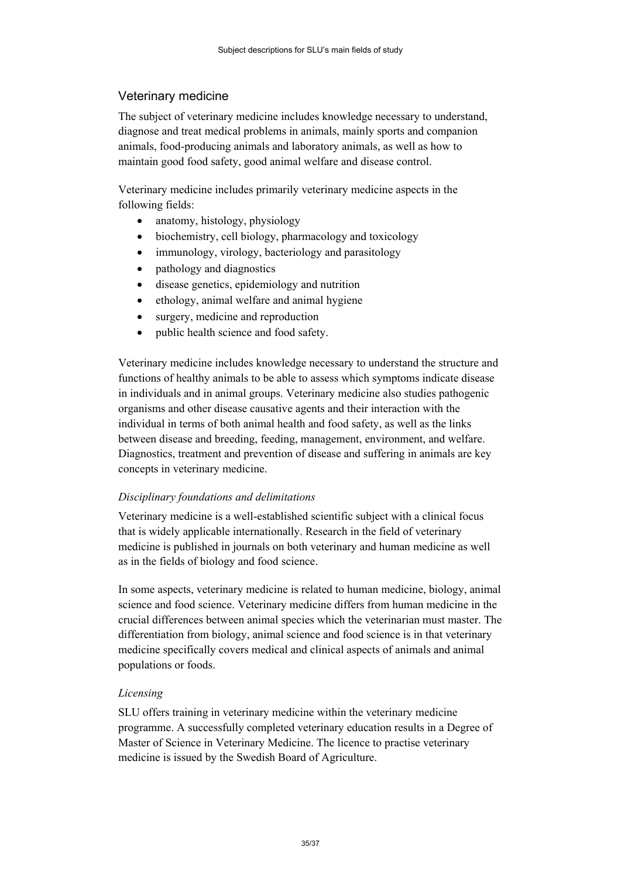# <span id="page-34-0"></span>Veterinary medicine

The subject of veterinary medicine includes knowledge necessary to understand, diagnose and treat medical problems in animals, mainly sports and companion animals, food-producing animals and laboratory animals, as well as how to maintain good food safety, good animal welfare and disease control.

Veterinary medicine includes primarily veterinary medicine aspects in the following fields:

- anatomy, histology, physiology
- biochemistry, cell biology, pharmacology and toxicology
- immunology, virology, bacteriology and parasitology
- pathology and diagnostics
- disease genetics, epidemiology and nutrition
- ethology, animal welfare and animal hygiene
- surgery, medicine and reproduction
- public health science and food safety.

Veterinary medicine includes knowledge necessary to understand the structure and functions of healthy animals to be able to assess which symptoms indicate disease in individuals and in animal groups. Veterinary medicine also studies pathogenic organisms and other disease causative agents and their interaction with the individual in terms of both animal health and food safety, as well as the links between disease and breeding, feeding, management, environment, and welfare. Diagnostics, treatment and prevention of disease and suffering in animals are key concepts in veterinary medicine.

## *Disciplinary foundations and delimitations*

Veterinary medicine is a well-established scientific subject with a clinical focus that is widely applicable internationally. Research in the field of veterinary medicine is published in journals on both veterinary and human medicine as well as in the fields of biology and food science.

In some aspects, veterinary medicine is related to human medicine, biology, animal science and food science. Veterinary medicine differs from human medicine in the crucial differences between animal species which the veterinarian must master. The differentiation from biology, animal science and food science is in that veterinary medicine specifically covers medical and clinical aspects of animals and animal populations or foods.

## *Licensing*

SLU offers training in veterinary medicine within the veterinary medicine programme. A successfully completed veterinary education results in a Degree of Master of Science in Veterinary Medicine. The licence to practise veterinary medicine is issued by the Swedish Board of Agriculture.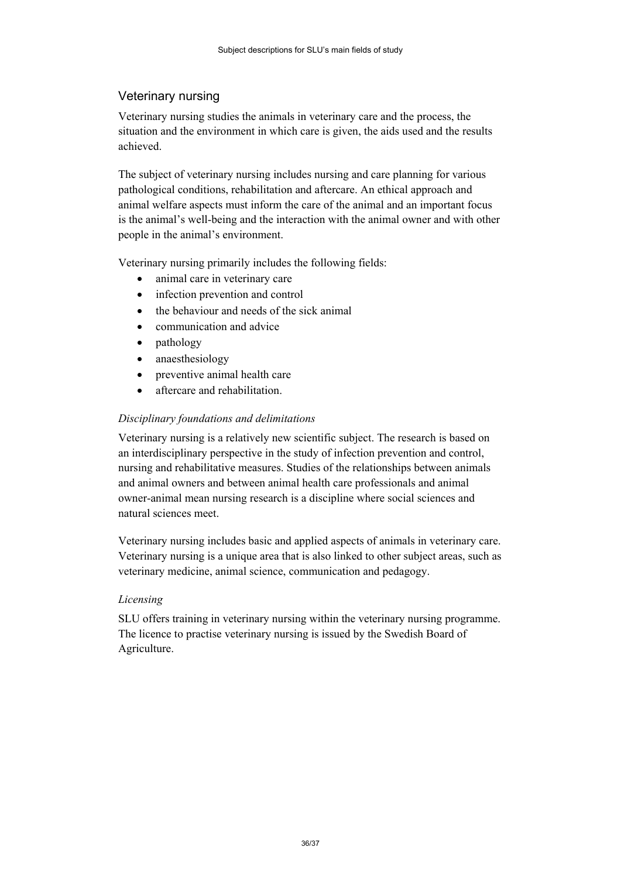# <span id="page-35-0"></span>Veterinary nursing

Veterinary nursing studies the animals in veterinary care and the process, the situation and the environment in which care is given, the aids used and the results achieved.

The subject of veterinary nursing includes nursing and care planning for various pathological conditions, rehabilitation and aftercare. An ethical approach and animal welfare aspects must inform the care of the animal and an important focus is the animal's well-being and the interaction with the animal owner and with other people in the animal's environment.

Veterinary nursing primarily includes the following fields:

- animal care in veterinary care
- infection prevention and control
- the behaviour and needs of the sick animal
- communication and advice
- pathology
- anaesthesiology
- preventive animal health care
- aftercare and rehabilitation.

## *Disciplinary foundations and delimitations*

Veterinary nursing is a relatively new scientific subject. The research is based on an interdisciplinary perspective in the study of infection prevention and control, nursing and rehabilitative measures. Studies of the relationships between animals and animal owners and between animal health care professionals and animal owner-animal mean nursing research is a discipline where social sciences and natural sciences meet.

Veterinary nursing includes basic and applied aspects of animals in veterinary care. Veterinary nursing is a unique area that is also linked to other subject areas, such as veterinary medicine, animal science, communication and pedagogy.

#### *Licensing*

SLU offers training in veterinary nursing within the veterinary nursing programme. The licence to practise veterinary nursing is issued by the Swedish Board of Agriculture.